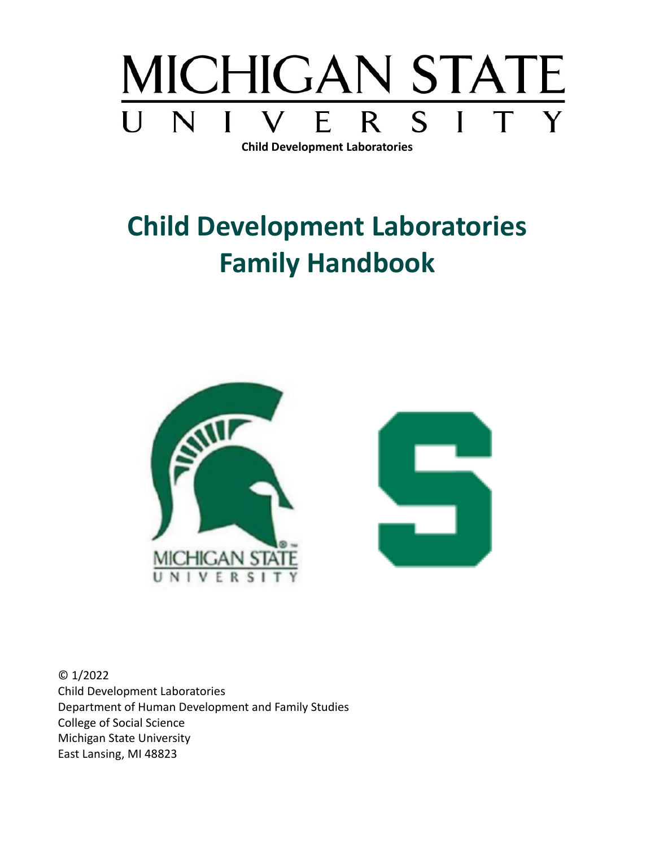

**Child Development Laboratories**

# **Child Development Laboratories Family Handbook**



© 1/2022 Child Development Laboratories Department of Human Development and Family Studies College of Social Science Michigan State University East Lansing, MI 48823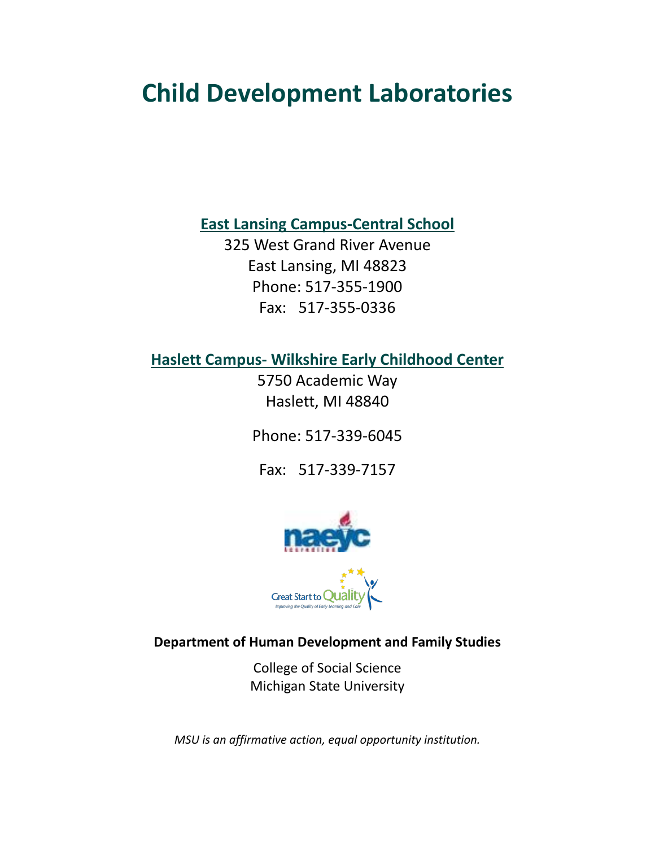# **Child Development Laboratories**

**East Lansing Campus-Central School**

325 West Grand River Avenue East Lansing, MI 48823 Phone: 517-355-1900 Fax: 517-355-0336

**Haslett Campus- Wilkshire Early Childhood Center**

5750 Academic Way Haslett, MI 48840

Phone: 517-339-6045

Fax: 517-339-7157



**Department of Human Development and Family Studies**

College of Social Science Michigan State University

*MSU is an affirmative action, equal opportunity institution.*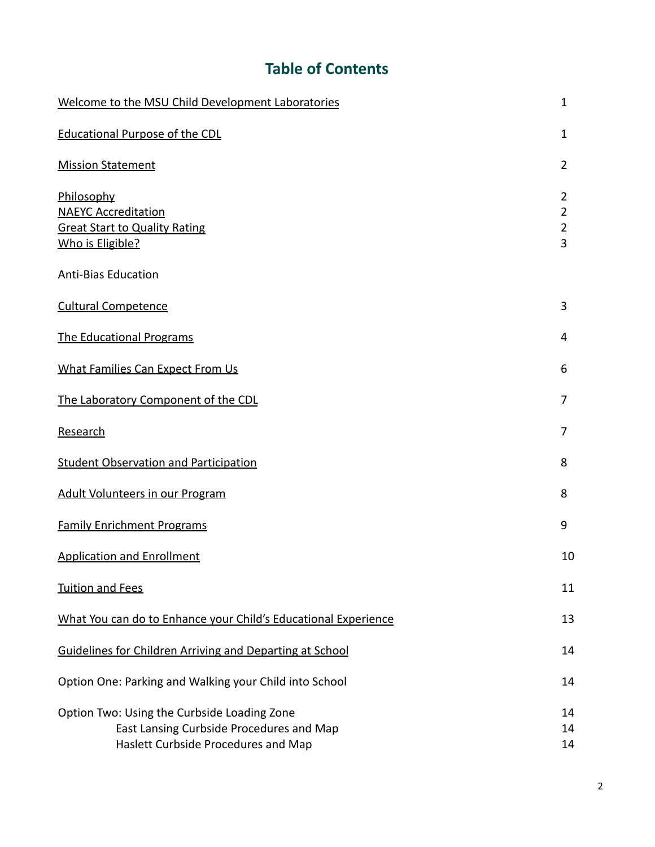# **Table of Contents**

| Welcome to the MSU Child Development Laboratories                                                                              | $\mathbf{1}$                  |
|--------------------------------------------------------------------------------------------------------------------------------|-------------------------------|
| <b>Educational Purpose of the CDL</b>                                                                                          | 1                             |
| <b>Mission Statement</b>                                                                                                       | $\overline{2}$                |
| Philosophy<br><b>NAEYC Accreditation</b><br><b>Great Start to Quality Rating</b><br>Who is Eligible?                           | 2<br>$\overline{2}$<br>2<br>3 |
| <b>Anti-Bias Education</b>                                                                                                     |                               |
| <b>Cultural Competence</b>                                                                                                     | 3                             |
| The Educational Programs                                                                                                       |                               |
| What Families Can Expect From Us                                                                                               | 6                             |
| The Laboratory Component of the CDL                                                                                            | 7                             |
| Research                                                                                                                       |                               |
| <b>Student Observation and Participation</b>                                                                                   | 8                             |
| <b>Adult Volunteers in our Program</b>                                                                                         |                               |
| <b>Family Enrichment Programs</b>                                                                                              | 9                             |
| <b>Application and Enrollment</b>                                                                                              |                               |
| <b>Tuition and Fees</b>                                                                                                        |                               |
| What You can do to Enhance your Child's Educational Experience                                                                 | 13                            |
| Guidelines for Children Arriving and Departing at School                                                                       | 14                            |
| Option One: Parking and Walking your Child into School                                                                         | 14                            |
| Option Two: Using the Curbside Loading Zone<br>East Lansing Curbside Procedures and Map<br>Haslett Curbside Procedures and Map | 14<br>14<br>14                |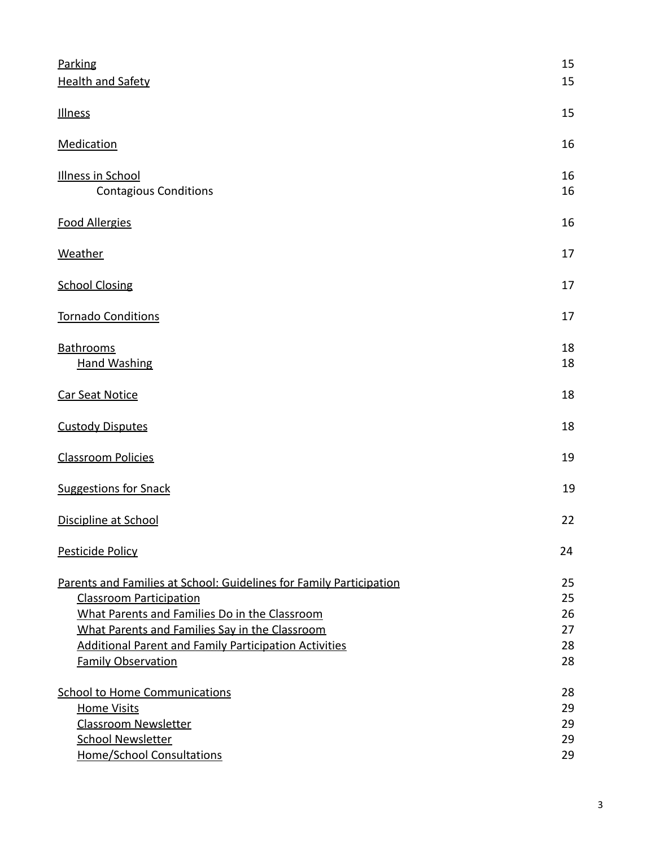| Parking<br><b>Health and Safety</b>                                                                                                                                                                                                                                                                   | 15<br>15                         |
|-------------------------------------------------------------------------------------------------------------------------------------------------------------------------------------------------------------------------------------------------------------------------------------------------------|----------------------------------|
| <b>Illness</b>                                                                                                                                                                                                                                                                                        | 15                               |
| <b>Medication</b>                                                                                                                                                                                                                                                                                     | 16                               |
| <b>Illness in School</b><br><b>Contagious Conditions</b>                                                                                                                                                                                                                                              | 16<br>16                         |
| <b>Food Allergies</b>                                                                                                                                                                                                                                                                                 | 16                               |
| Weather                                                                                                                                                                                                                                                                                               | 17                               |
| <b>School Closing</b>                                                                                                                                                                                                                                                                                 | 17                               |
| <b>Tornado Conditions</b>                                                                                                                                                                                                                                                                             | 17                               |
| Bathrooms<br><b>Hand Washing</b>                                                                                                                                                                                                                                                                      | 18<br>18                         |
| <b>Car Seat Notice</b>                                                                                                                                                                                                                                                                                | 18                               |
| <b>Custody Disputes</b>                                                                                                                                                                                                                                                                               | 18                               |
| <b>Classroom Policies</b>                                                                                                                                                                                                                                                                             | 19                               |
| <b>Suggestions for Snack</b>                                                                                                                                                                                                                                                                          | 19                               |
| Discipline at School                                                                                                                                                                                                                                                                                  | 22                               |
| Pesticide Policy                                                                                                                                                                                                                                                                                      | 24                               |
| Parents and Families at School: Guidelines for Family Participation<br><b>Classroom Participation</b><br>What Parents and Families Do in the Classroom<br>What Parents and Families Say in the Classroom<br><b>Additional Parent and Family Participation Activities</b><br><b>Family Observation</b> | 25<br>25<br>26<br>27<br>28<br>28 |
| <b>School to Home Communications</b><br><b>Home Visits</b><br><b>Classroom Newsletter</b><br><b>School Newsletter</b><br><b>Home/School Consultations</b>                                                                                                                                             | 28<br>29<br>29<br>29<br>29       |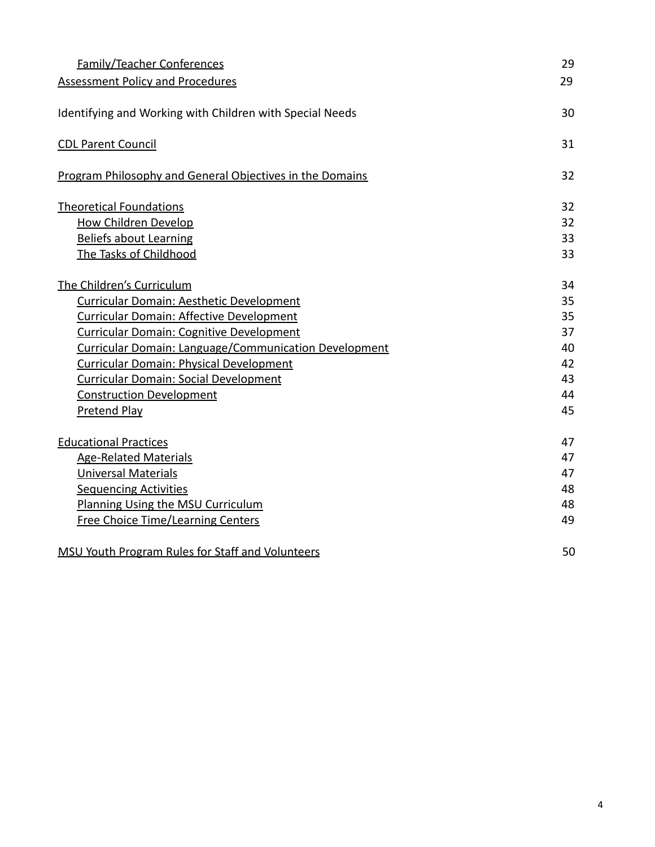| <b>Family/Teacher Conferences</b>                            | 29 |
|--------------------------------------------------------------|----|
| <b>Assessment Policy and Procedures</b>                      | 29 |
| Identifying and Working with Children with Special Needs     | 30 |
| <b>CDL Parent Council</b>                                    | 31 |
| Program Philosophy and General Objectives in the Domains     | 32 |
| <b>Theoretical Foundations</b>                               | 32 |
| <b>How Children Develop</b>                                  | 32 |
| <b>Beliefs about Learning</b>                                | 33 |
| The Tasks of Childhood                                       | 33 |
| The Children's Curriculum                                    | 34 |
| Curricular Domain: Aesthetic Development                     | 35 |
| <b>Curricular Domain: Affective Development</b>              | 35 |
| Curricular Domain: Cognitive Development                     | 37 |
| <b>Curricular Domain: Language/Communication Development</b> | 40 |
| <b>Curricular Domain: Physical Development</b>               | 42 |
| <b>Curricular Domain: Social Development</b>                 | 43 |
| <b>Construction Development</b>                              | 44 |
| Pretend Play                                                 | 45 |
| <b>Educational Practices</b>                                 | 47 |
| <b>Age-Related Materials</b>                                 | 47 |
| <b>Universal Materials</b>                                   | 47 |
| <b>Sequencing Activities</b>                                 | 48 |
| Planning Using the MSU Curriculum                            | 48 |
| <b>Free Choice Time/Learning Centers</b>                     | 49 |
| <b>MSU Youth Program Rules for Staff and Volunteers</b>      | 50 |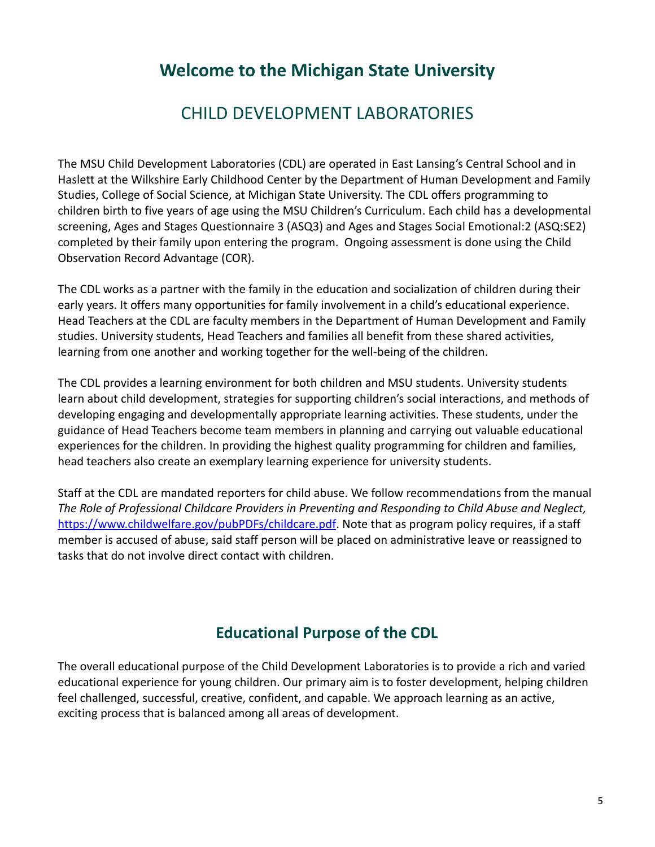# **Welcome to the Michigan State University**

# CHILD DEVELOPMENT LABORATORIES

The MSU Child Development Laboratories (CDL) are operated in East Lansing's Central School and in Haslett at the Wilkshire Early Childhood Center by the Department of Human Development and Family Studies, College of Social Science, at Michigan State University. The CDL offers programming to children birth to five years of age using the MSU Children's Curriculum. Each child has a developmental screening, Ages and Stages Questionnaire 3 (ASQ3) and Ages and Stages Social Emotional:2 (ASQ:SE2) completed by their family upon entering the program. Ongoing assessment is done using the Child Observation Record Advantage (COR).

The CDL works as a partner with the family in the education and socialization of children during their early years. It offers many opportunities for family involvement in a child's educational experience. Head Teachers at the CDL are faculty members in the Department of Human Development and Family studies. University students, Head Teachers and families all benefit from these shared activities, learning from one another and working together for the well-being of the children.

The CDL provides a learning environment for both children and MSU students. University students learn about child development, strategies for supporting children's social interactions, and methods of developing engaging and developmentally appropriate learning activities. These students, under the guidance of Head Teachers become team members in planning and carrying out valuable educational experiences for the children. In providing the highest quality programming for children and families, head teachers also create an exemplary learning experience for university students.

Staff at the CDL are mandated reporters for child abuse. We follow recommendations from the manual *The Role of Professional Childcare Providers in Preventing and Responding to Child Abuse and Neglect,* [https://www.childwelfare.gov/pubPDFs/childcare.pdf.](https://www.childwelfare.gov/pubPDFs/childcare.pdf) Note that as program policy requires, if a staff member is accused of abuse, said staff person will be placed on administrative leave or reassigned to tasks that do not involve direct contact with children.

# **Educational Purpose of the CDL**

<span id="page-5-0"></span>The overall educational purpose of the Child Development Laboratories is to provide a rich and varied educational experience for young children. Our primary aim is to foster development, helping children feel challenged, successful, creative, confident, and capable. We approach learning as an active, exciting process that is balanced among all areas of development.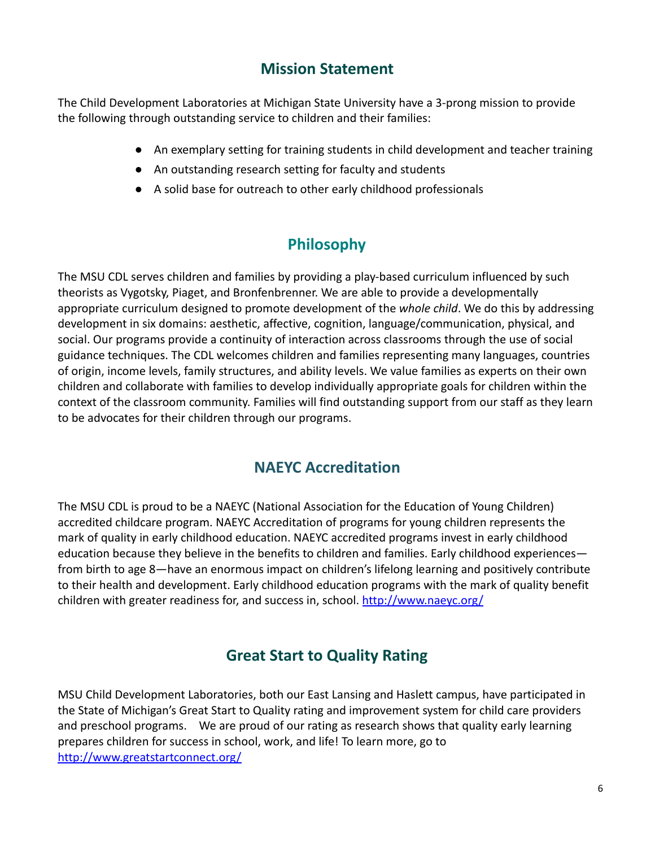### **Mission Statement**

<span id="page-6-0"></span>The Child Development Laboratories at Michigan State University have a 3-prong mission to provide the following through outstanding service to children and their families:

- An exemplary setting for training students in child development and teacher training
- An outstanding research setting for faculty and students
- A solid base for outreach to other early childhood professionals

# **Philosophy**

<span id="page-6-1"></span>The MSU CDL serves children and families by providing a play-based curriculum influenced by such theorists as Vygotsky, Piaget, and Bronfenbrenner. We are able to provide a developmentally appropriate curriculum designed to promote development of the *whole child*. We do this by addressing development in six domains: aesthetic, affective, cognition, language/communication, physical, and social. Our programs provide a continuity of interaction across classrooms through the use of social guidance techniques. The CDL welcomes children and families representing many languages, countries of origin, income levels, family structures, and ability levels. We value families as experts on their own children and collaborate with families to develop individually appropriate goals for children within the context of the classroom community. Families will find outstanding support from our staff as they learn to be advocates for their children through our programs.

### **NAEYC Accreditation**

<span id="page-6-2"></span>The MSU CDL is proud to be a NAEYC (National Association for the Education of Young Children) accredited childcare program. NAEYC Accreditation of programs for young children represents the mark of quality in early childhood education. NAEYC accredited programs invest in early childhood education because they believe in the benefits to children and families. Early childhood experiences from birth to age 8—have an enormous impact on children's lifelong learning and positively contribute to their health and development. Early childhood education programs with the mark of quality benefit children with greater readiness for, and success in, school. <http://www.naeyc.org/>

# **Great Start to Quality Rating**

<span id="page-6-3"></span>MSU Child Development Laboratories, both our East Lansing and Haslett campus, have participated in the State of Michigan's Great Start to Quality rating and improvement system for child care providers and preschool programs. We are proud of our rating as research shows that quality early learning prepares children for success in school, work, and life! To learn more, go to <http://www.greatstartconnect.org/>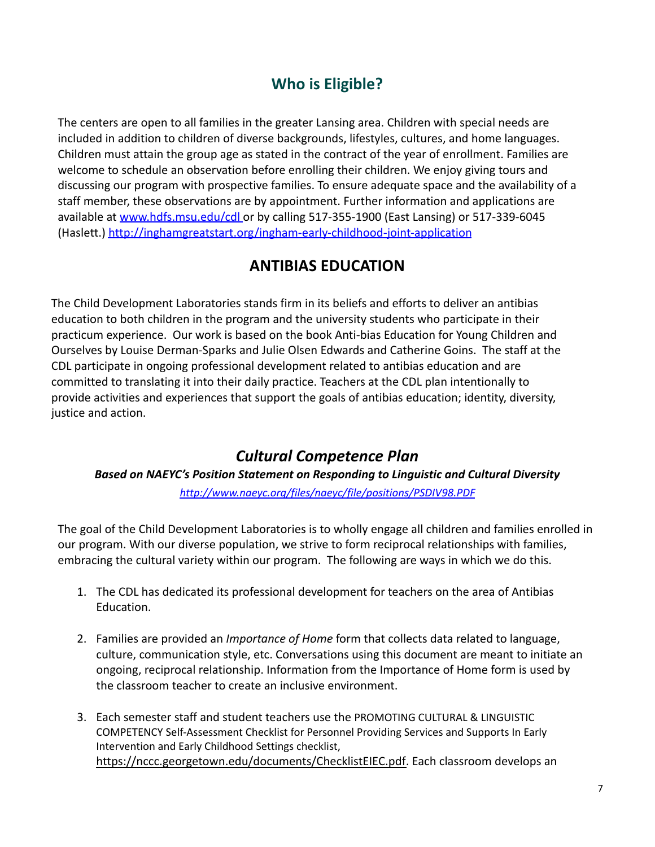# **Who is Eligible?**

<span id="page-7-0"></span>The centers are open to all families in the greater Lansing area. Children with special needs are included in addition to children of diverse backgrounds, lifestyles, cultures, and home languages. Children must attain the group age as stated in the contract of the year of enrollment. Families are welcome to schedule an observation before enrolling their children. We enjoy giving tours and discussing our program with prospective families. To ensure adequate space and the availability of a staff member, these observations are by appointment. Further information and applications are available at [www.hdfs.msu.edu/cdl](http://www.hdfs.msu.edu/cdl) or by calling 517-355-1900 (East Lansing) or 517-339-6045 (Haslett.) <http://inghamgreatstart.org/ingham-early-childhood-joint-application>

### **ANTIBIAS EDUCATION**

The Child Development Laboratories stands firm in its beliefs and efforts to deliver an antibias education to both children in the program and the university students who participate in their practicum experience. Our work is based on the book Anti-bias Education for Young Children and Ourselves by Louise Derman-Sparks and Julie Olsen Edwards and Catherine Goins. The staff at the CDL participate in ongoing professional development related to antibias education and are committed to translating it into their daily practice. Teachers at the CDL plan intentionally to provide activities and experiences that support the goals of antibias education; identity, diversity, justice and action.

# *Cultural Competence Plan*

*Based on NAEYC's Position Statement on Responding to Linguistic and Cultural Diversity <http://www.naeyc.org/files/naeyc/file/positions/PSDIV98.PDF>*

The goal of the Child Development Laboratories is to wholly engage all children and families enrolled in our program. With our diverse population, we strive to form reciprocal relationships with families, embracing the cultural variety within our program. The following are ways in which we do this.

- 1. The CDL has dedicated its professional development for teachers on the area of Antibias Education.
- 2. Families are provided an *Importance of Home* form that collects data related to language, culture, communication style, etc. Conversations using this document are meant to initiate an ongoing, reciprocal relationship. Information from the Importance of Home form is used by the classroom teacher to create an inclusive environment.
- 3. Each semester staff and student teachers use the PROMOTING CULTURAL & LINGUISTIC COMPETENCY Self-Assessment Checklist for Personnel Providing Services and Supports In Early Intervention and Early Childhood Settings checklist, [https://nccc.georgetown.edu/documents/ChecklistEIEC.pdf.](https://nccc.georgetown.edu/documents/ChecklistEIEC.pdf) Each classroom develops an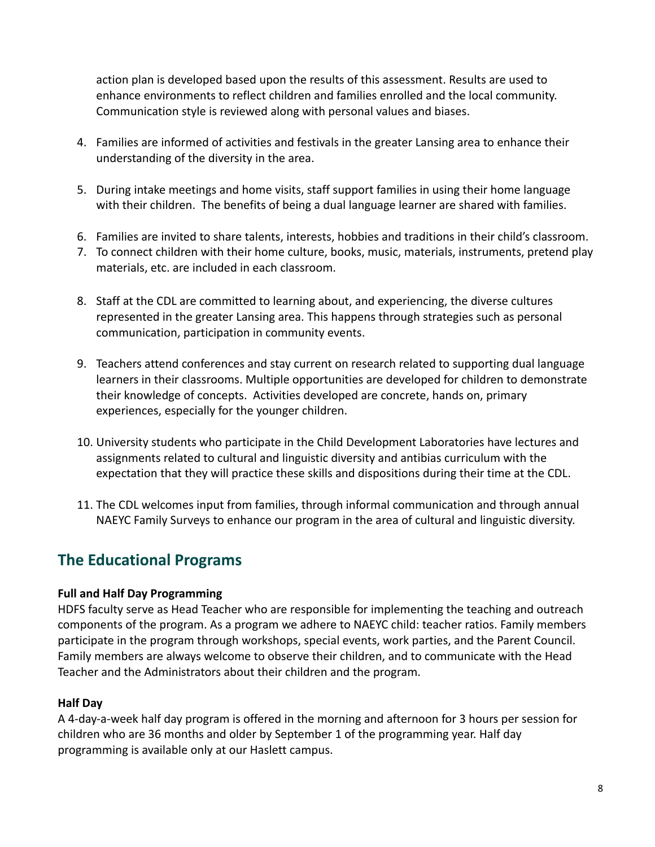action plan is developed based upon the results of this assessment. Results are used to enhance environments to reflect children and families enrolled and the local community. Communication style is reviewed along with personal values and biases.

- 4. Families are informed of activities and festivals in the greater Lansing area to enhance their understanding of the diversity in the area.
- 5. During intake meetings and home visits, staff support families in using their home language with their children. The benefits of being a dual language learner are shared with families.
- 6. Families are invited to share talents, interests, hobbies and traditions in their child's classroom.
- 7. To connect children with their home culture, books, music, materials, instruments, pretend play materials, etc. are included in each classroom.
- 8. Staff at the CDL are committed to learning about, and experiencing, the diverse cultures represented in the greater Lansing area. This happens through strategies such as personal communication, participation in community events.
- 9. Teachers attend conferences and stay current on research related to supporting dual language learners in their classrooms. Multiple opportunities are developed for children to demonstrate their knowledge of concepts. Activities developed are concrete, hands on, primary experiences, especially for the younger children.
- 10. University students who participate in the Child Development Laboratories have lectures and assignments related to cultural and linguistic diversity and antibias curriculum with the expectation that they will practice these skills and dispositions during their time at the CDL.
- 11. The CDL welcomes input from families, through informal communication and through annual NAEYC Family Surveys to enhance our program in the area of cultural and linguistic diversity.

# <span id="page-8-0"></span>**The Educational Programs**

#### **Full and Half Day Programming**

HDFS faculty serve as Head Teacher who are responsible for implementing the teaching and outreach components of the program. As a program we adhere to NAEYC child: teacher ratios. Family members participate in the program through workshops, special events, work parties, and the Parent Council. Family members are always welcome to observe their children, and to communicate with the Head Teacher and the Administrators about their children and the program.

#### **Half Day**

A 4-day-a-week half day program is offered in the morning and afternoon for 3 hours per session for children who are 36 months and older by September 1 of the programming year. Half day programming is available only at our Haslett campus.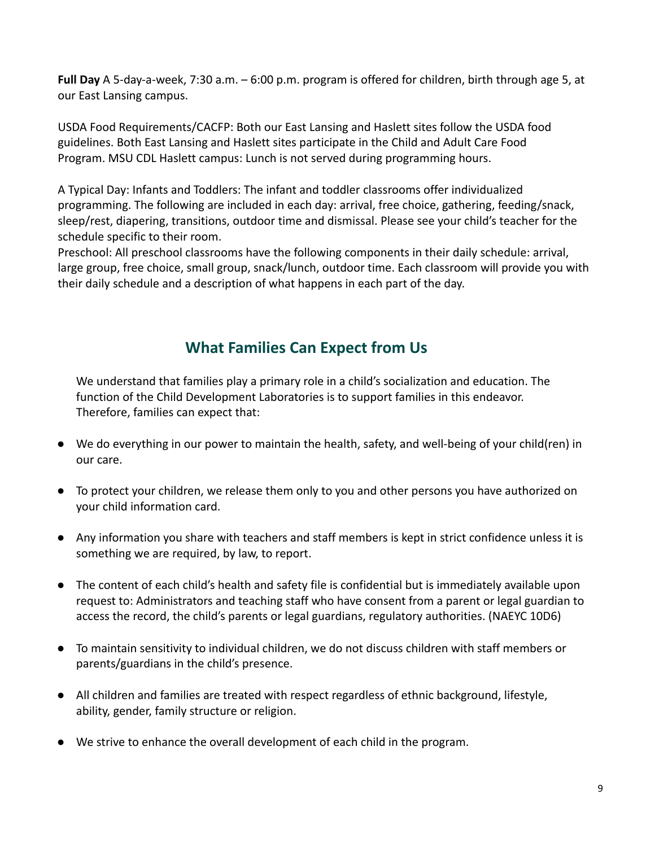**Full Day** A 5-day-a-week, 7:30 a.m. – 6:00 p.m. program is offered for children, birth through age 5, at our East Lansing campus.

USDA Food Requirements/CACFP: Both our East Lansing and Haslett sites follow the USDA food guidelines. Both East Lansing and Haslett sites participate in the Child and Adult Care Food Program. MSU CDL Haslett campus: Lunch is not served during programming hours.

A Typical Day: Infants and Toddlers: The infant and toddler classrooms offer individualized programming. The following are included in each day: arrival, free choice, gathering, feeding/snack, sleep/rest, diapering, transitions, outdoor time and dismissal. Please see your child's teacher for the schedule specific to their room.

Preschool: All preschool classrooms have the following components in their daily schedule: arrival, large group, free choice, small group, snack/lunch, outdoor time. Each classroom will provide you with their daily schedule and a description of what happens in each part of the day.

# **What Families Can Expect from Us**

<span id="page-9-0"></span>We understand that families play a primary role in a child's socialization and education. The function of the Child Development Laboratories is to support families in this endeavor. Therefore, families can expect that:

- We do everything in our power to maintain the health, safety, and well-being of your child(ren) in our care.
- To protect your children, we release them only to you and other persons you have authorized on your child information card.
- Any information you share with teachers and staff members is kept in strict confidence unless it is something we are required, by law, to report.
- The content of each child's health and safety file is confidential but is immediately available upon request to: Administrators and teaching staff who have consent from a parent or legal guardian to access the record, the child's parents or legal guardians, regulatory authorities. (NAEYC 10D6)
- To maintain sensitivity to individual children, we do not discuss children with staff members or parents/guardians in the child's presence.
- All children and families are treated with respect regardless of ethnic background, lifestyle, ability, gender, family structure or religion.
- We strive to enhance the overall development of each child in the program.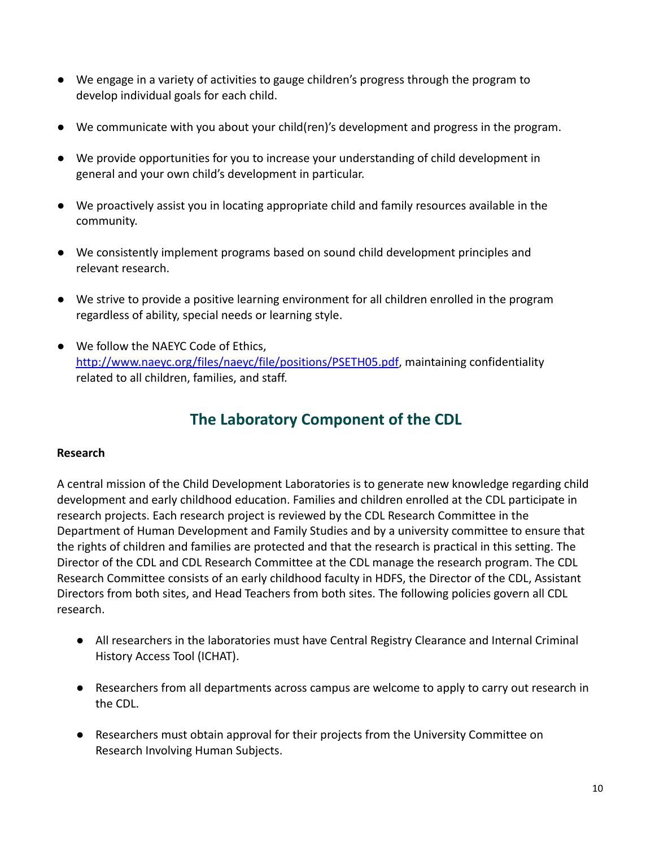- We engage in a variety of activities to gauge children's progress through the program to develop individual goals for each child.
- We communicate with you about your child(ren)'s development and progress in the program.
- We provide opportunities for you to increase your understanding of child development in general and your own child's development in particular.
- We proactively assist you in locating appropriate child and family resources available in the community.
- We consistently implement programs based on sound child development principles and relevant research.
- We strive to provide a positive learning environment for all children enrolled in the program regardless of ability, special needs or learning style.
- <span id="page-10-0"></span>● We follow the NAEYC Code of Ethics, [http://www.naeyc.org/files/naeyc/file/positions/PSETH05.pdf,](http://www.naeyc.org/files/naeyc/file/positions/PSETH05.pdf) maintaining confidentiality related to all children, families, and staff.

# **The Laboratory Component of the CDL**

#### <span id="page-10-1"></span>**Research**

A central mission of the Child Development Laboratories is to generate new knowledge regarding child development and early childhood education. Families and children enrolled at the CDL participate in research projects. Each research project is reviewed by the CDL Research Committee in the Department of Human Development and Family Studies and by a university committee to ensure that the rights of children and families are protected and that the research is practical in this setting. The Director of the CDL and CDL Research Committee at the CDL manage the research program. The CDL Research Committee consists of an early childhood faculty in HDFS, the Director of the CDL, Assistant Directors from both sites, and Head Teachers from both sites. The following policies govern all CDL research.

- All researchers in the laboratories must have Central Registry Clearance and Internal Criminal History Access Tool (ICHAT).
- Researchers from all departments across campus are welcome to apply to carry out research in the CDL.
- Researchers must obtain approval for their projects from the University Committee on Research Involving Human Subjects.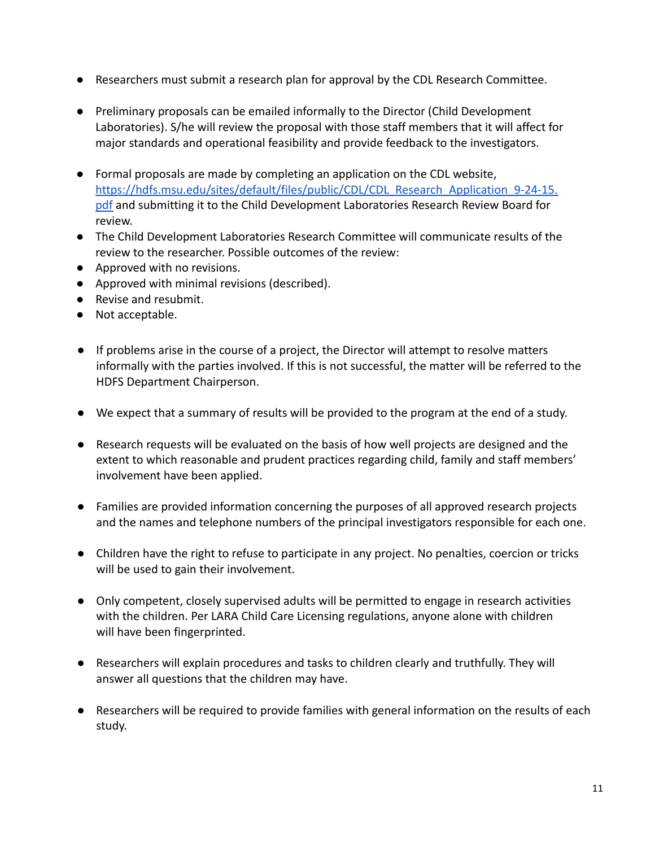- Researchers must submit a research plan for approval by the CDL Research Committee.
- Preliminary proposals can be emailed informally to the Director (Child Development Laboratories). S/he will review the proposal with those staff members that it will affect for major standards and operational feasibility and provide feedback to the investigators.
- Formal proposals are made by completing an application on the CDL website, [https://hdfs.msu.edu/sites/default/files/public/CDL/CDL\\_Research\\_Application\\_9-24-15.](https://hdfs.msu.edu/sites/default/files/public/CDL/CDL_Research_Application_9-24-15.pdf) [pdf](https://hdfs.msu.edu/sites/default/files/public/CDL/CDL_Research_Application_9-24-15.pdf) and submitting it to the Child Development Laboratories Research Review Board for review.
- The Child Development Laboratories Research Committee will communicate results of the review to the researcher. Possible outcomes of the review:
- Approved with no revisions.
- Approved with minimal revisions (described).
- Revise and resubmit.
- Not acceptable.
- If problems arise in the course of a project, the Director will attempt to resolve matters informally with the parties involved. If this is not successful, the matter will be referred to the HDFS Department Chairperson.
- We expect that a summary of results will be provided to the program at the end of a study.
- Research requests will be evaluated on the basis of how well projects are designed and the extent to which reasonable and prudent practices regarding child, family and staff members' involvement have been applied.
- Families are provided information concerning the purposes of all approved research projects and the names and telephone numbers of the principal investigators responsible for each one.
- Children have the right to refuse to participate in any project. No penalties, coercion or tricks will be used to gain their involvement.
- Only competent, closely supervised adults will be permitted to engage in research activities with the children. Per LARA Child Care Licensing regulations, anyone alone with children will have been fingerprinted.
- Researchers will explain procedures and tasks to children clearly and truthfully. They will answer all questions that the children may have.
- Researchers will be required to provide families with general information on the results of each study.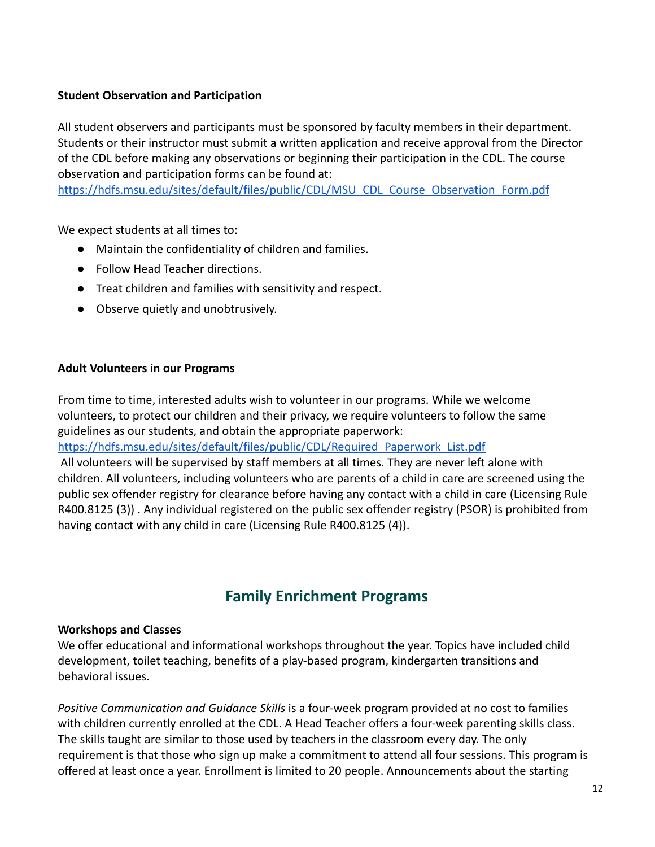#### <span id="page-12-0"></span>**Student Observation and Participation**

All student observers and participants must be sponsored by faculty members in their department. Students or their instructor must submit a written application and receive approval from the Director of the CDL before making any observations or beginning their participation in the CDL. The course observation and participation forms can be found at:

[https://hdfs.msu.edu/sites/default/files/public/CDL/MSU\\_CDL\\_Course\\_Observation\\_Form.pdf](https://hdfs.msu.edu/sites/default/files/public/CDL/MSU_CDL_Course_Observation_Form.pdf)

We expect students at all times to:

- Maintain the confidentiality of children and families.
- Follow Head Teacher directions.
- Treat children and families with sensitivity and respect.
- Observe quietly and unobtrusively.

#### **Adult Volunteers in our Programs**

From time to time, interested adults wish to volunteer in our programs. While we welcome volunteers, to protect our children and their privacy, we require volunteers to follow the same guidelines as our students, and obtain the appropriate paperwork:

[https://hdfs.msu.edu/sites/default/files/public/CDL/Required\\_Paperwork\\_List.pdf](https://hdfs.msu.edu/sites/default/files/public/CDL/Required_Paperwork_List.pdf)

All volunteers will be supervised by staff members at all times. They are never left alone with children. All volunteers, including volunteers who are parents of a child in care are screened using the public sex offender registry for clearance before having any contact with a child in care (Licensing Rule R400.8125 (3)) . Any individual registered on the public sex offender registry (PSOR) is prohibited from having contact with any child in care (Licensing Rule R400.8125 (4)).

# **Family Enrichment Programs**

#### <span id="page-12-1"></span>**Workshops and Classes**

We offer educational and informational workshops throughout the year. Topics have included child development, toilet teaching, benefits of a play-based program, kindergarten transitions and behavioral issues.

*Positive Communication and Guidance Skills* is a four-week program provided at no cost to families with children currently enrolled at the CDL. A Head Teacher offers a four-week parenting skills class. The skills taught are similar to those used by teachers in the classroom every day. The only requirement is that those who sign up make a commitment to attend all four sessions. This program is offered at least once a year. Enrollment is limited to 20 people. Announcements about the starting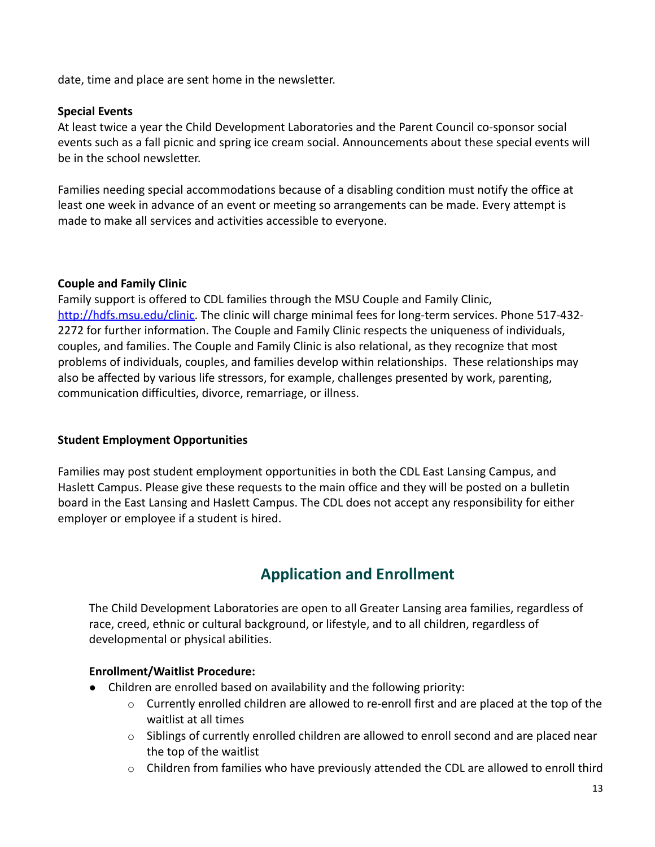date, time and place are sent home in the newsletter.

#### **Special Events**

At least twice a year the Child Development Laboratories and the Parent Council co-sponsor social events such as a fall picnic and spring ice cream social. Announcements about these special events will be in the school newsletter.

Families needing special accommodations because of a disabling condition must notify the office at least one week in advance of an event or meeting so arrangements can be made. Every attempt is made to make all services and activities accessible to everyone.

#### **Couple and Family Clinic**

Family support is offered to CDL families through the MSU Couple and Family Clinic, [http://hdfs.msu.edu/clinic.](http://hdfs.msu.edu/clinic) The clinic will charge minimal fees for long-term services. Phone 517-432- 2272 for further information. The Couple and Family Clinic respects the uniqueness of individuals, couples, and families. The Couple and Family Clinic is also relational, as they recognize that most problems of individuals, couples, and families develop within relationships. These relationships may also be affected by various life stressors, for example, challenges presented by work, parenting, communication difficulties, divorce, remarriage, or illness.

#### **Student Employment Opportunities**

<span id="page-13-0"></span>Families may post student employment opportunities in both the CDL East Lansing Campus, and Haslett Campus. Please give these requests to the main office and they will be posted on a bulletin board in the East Lansing and Haslett Campus. The CDL does not accept any responsibility for either employer or employee if a student is hired.

# **Application and Enrollment**

The Child Development Laboratories are open to all Greater Lansing area families, regardless of race, creed, ethnic or cultural background, or lifestyle, and to all children, regardless of developmental or physical abilities.

#### **Enrollment/Waitlist Procedure:**

- Children are enrolled based on availability and the following priority:
	- $\circ$  Currently enrolled children are allowed to re-enroll first and are placed at the top of the waitlist at all times
	- o Siblings of currently enrolled children are allowed to enroll second and are placed near the top of the waitlist
	- $\circ$  Children from families who have previously attended the CDL are allowed to enroll third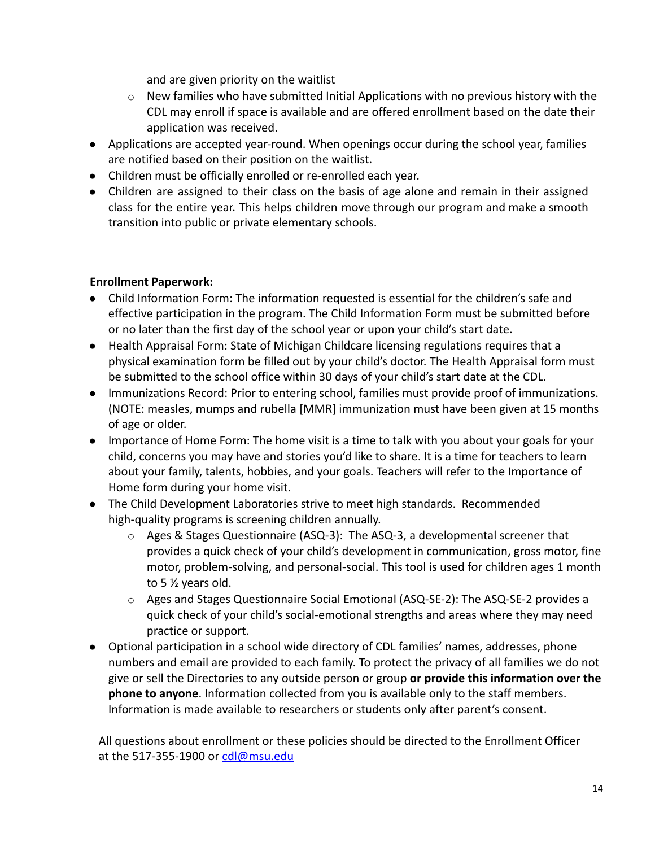and are given priority on the waitlist

- $\circ$  New families who have submitted Initial Applications with no previous history with the CDL may enroll if space is available and are offered enrollment based on the date their application was received.
- Applications are accepted year-round. When openings occur during the school year, families are notified based on their position on the waitlist.
- Children must be officially enrolled or re-enrolled each year.
- Children are assigned to their class on the basis of age alone and remain in their assigned class for the entire year. This helps children move through our program and make a smooth transition into public or private elementary schools.

#### **Enrollment Paperwork:**

- Child Information Form: The information requested is essential for the children's safe and effective participation in the program. The Child Information Form must be submitted before or no later than the first day of the school year or upon your child's start date.
- Health Appraisal Form: State of Michigan Childcare licensing regulations requires that a physical examination form be filled out by your child's doctor. The Health Appraisal form must be submitted to the school office within 30 days of your child's start date at the CDL.
- Immunizations Record: Prior to entering school, families must provide proof of immunizations. (NOTE: measles, mumps and rubella [MMR] immunization must have been given at 15 months of age or older.
- Importance of Home Form: The home visit is a time to talk with you about your goals for your child, concerns you may have and stories you'd like to share. It is a time for teachers to learn about your family, talents, hobbies, and your goals. Teachers will refer to the Importance of Home form during your home visit.
- The Child Development Laboratories strive to meet high standards. Recommended high-quality programs is screening children annually.
	- $\circ$  Ages & Stages Questionnaire (ASQ-3): The ASQ-3, a developmental screener that provides a quick check of your child's development in communication, gross motor, fine motor, problem-solving, and personal-social. This tool is used for children ages 1 month to 5 ½ years old.
	- o Ages and Stages Questionnaire Social Emotional (ASQ-SE-2): The ASQ-SE-2 provides a quick check of your child's social-emotional strengths and areas where they may need practice or support.
- Optional participation in a school wide directory of CDL families' names, addresses, phone numbers and email are provided to each family. To protect the privacy of all families we do not give or sell the Directories to any outside person or group **or provide this information over the phone to anyone**. Information collected from you is available only to the staff members. Information is made available to researchers or students only after parent's consent.

All questions about enrollment or these policies should be directed to the Enrollment Officer at the 517-355-1900 or [cdl@msu.edu](mailto:cdl@msu.edu)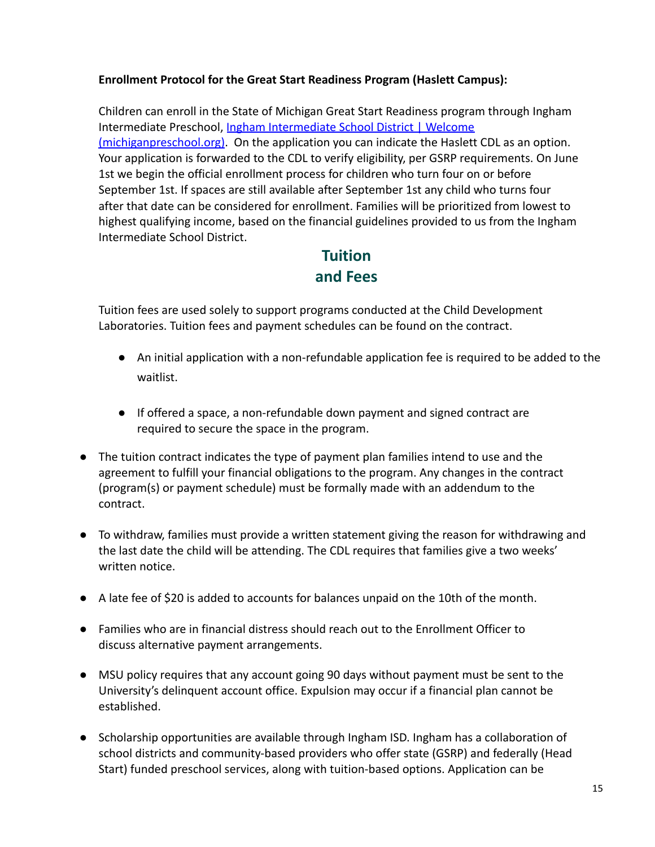#### **Enrollment Protocol for the Great Start Readiness Program (Haslett Campus):**

Children can enroll in the State of Michigan Great Start Readiness program through Ingham Intermediate Preschool, [Ingham Intermediate School](https://michiganpreschool.org/page.php?ID=5&set=33000) District | Welcome [\(michiganpreschool.org\)](https://michiganpreschool.org/page.php?ID=5&set=33000). On the application you can indicate the Haslett CDL as an option. Your application is forwarded to the CDL to verify eligibility, per GSRP requirements. On June 1st we begin the official enrollment process for children who turn four on or before September 1st. If spaces are still available after September 1st any child who turns four after that date can be considered for enrollment. Families will be prioritized from lowest to highest qualifying income, based on the financial guidelines provided to us from the Ingham Intermediate School District.

# **Tuition and Fees**

<span id="page-15-0"></span>Tuition fees are used solely to support programs conducted at the Child Development Laboratories. Tuition fees and payment schedules can be found on the contract.

- An initial application with a non-refundable application fee is required to be added to the waitlist.
- If offered a space, a non-refundable down payment and signed contract are required to secure the space in the program.
- The tuition contract indicates the type of payment plan families intend to use and the agreement to fulfill your financial obligations to the program. Any changes in the contract (program(s) or payment schedule) must be formally made with an addendum to the contract.
- To withdraw, families must provide a written statement giving the reason for withdrawing and the last date the child will be attending. The CDL requires that families give a two weeks' written notice.
- A late fee of \$20 is added to accounts for balances unpaid on the 10th of the month.
- Families who are in financial distress should reach out to the Enrollment Officer to discuss alternative payment arrangements.
- MSU policy requires that any account going 90 days without payment must be sent to the University's delinquent account office. Expulsion may occur if a financial plan cannot be established.
- Scholarship opportunities are available through Ingham ISD. Ingham has a collaboration of school districts and community-based providers who offer state (GSRP) and federally (Head Start) funded preschool services, along with tuition-based options. Application can be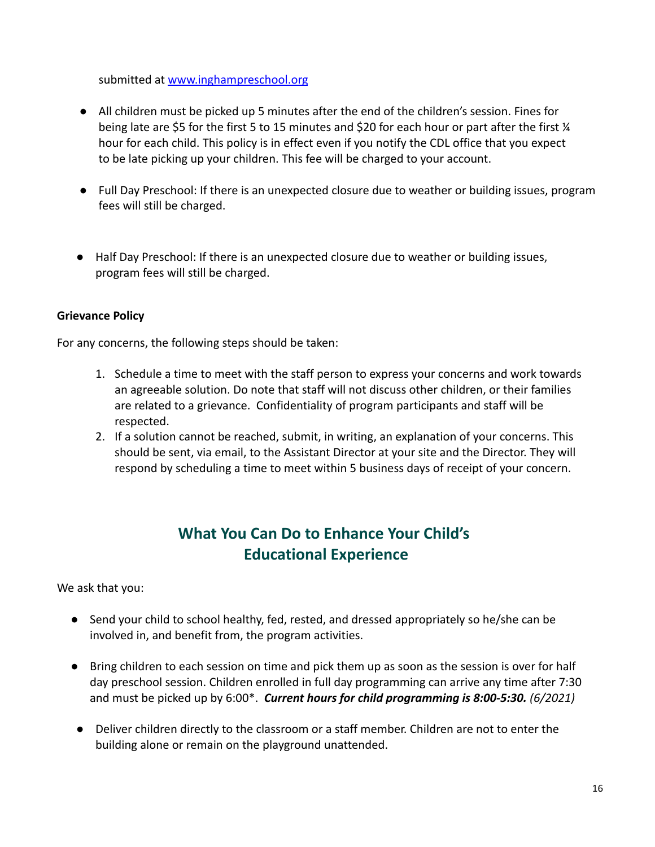submitted at [www.inghampreschool.org](http://www.inghampreschool.org)

- All children must be picked up 5 minutes after the end of the children's session. Fines for being late are \$5 for the first 5 to 15 minutes and \$20 for each hour or part after the first  $\frac{1}{4}$ hour for each child. This policy is in effect even if you notify the CDL office that you expect to be late picking up your children. This fee will be charged to your account.
- Full Day Preschool: If there is an unexpected closure due to weather or building issues, program fees will still be charged.
- Half Day Preschool: If there is an unexpected closure due to weather or building issues, program fees will still be charged.

#### **Grievance Policy**

For any concerns, the following steps should be taken:

- 1. Schedule a time to meet with the staff person to express your concerns and work towards an agreeable solution. Do note that staff will not discuss other children, or their families are related to a grievance. Confidentiality of program participants and staff will be respected.
- 2. If a solution cannot be reached, submit, in writing, an explanation of your concerns. This should be sent, via email, to the Assistant Director at your site and the Director. They will respond by scheduling a time to meet within 5 business days of receipt of your concern.

# **What You Can Do to Enhance Your Child's Educational Experience**

<span id="page-16-0"></span>We ask that you:

- *●* Send your child to school healthy, fed, rested, and dressed appropriately so he/she can be involved in, and benefit from, the program activities.
- *●* Bring children to each session on time and pick them up as soon as the session is over for half day preschool session. Children enrolled in full day programming can arrive any time after 7:30 and must be picked up by 6:00\*. *Current hours for child programming is 8:00-5:30. (6/2021)*
- Deliver children directly to the classroom or a staff member. Children are not to enter the building alone or remain on the playground unattended.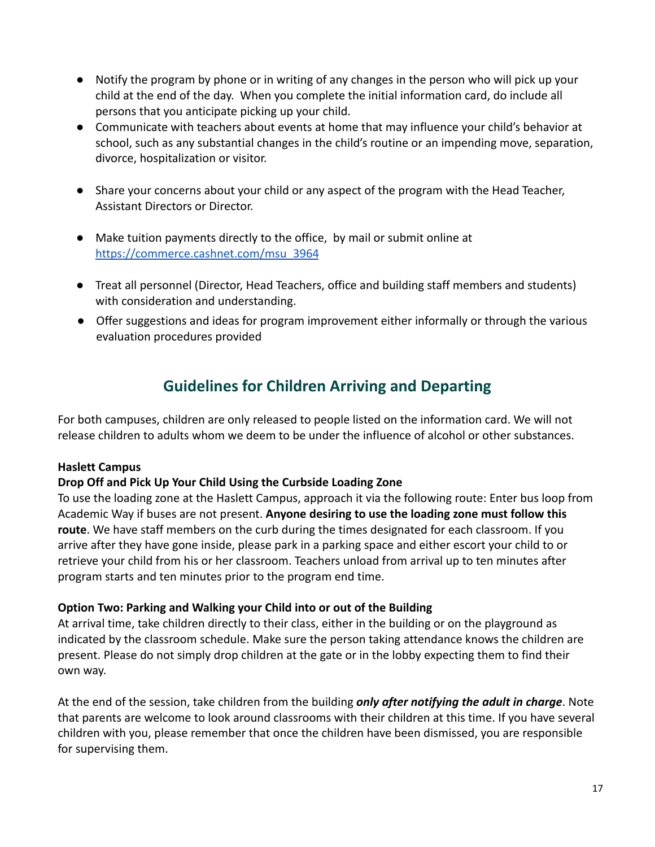- Notify the program by phone or in writing of any changes in the person who will pick up your child at the end of the day. When you complete the initial information card, do include all persons that you anticipate picking up your child.
- Communicate with teachers about events at home that may influence your child's behavior at school, such as any substantial changes in the child's routine or an impending move, separation, divorce, hospitalization or visitor.
- Share your concerns about your child or any aspect of the program with the Head Teacher, Assistant Directors or Director.
- Make tuition payments directly to the office, by mail or submit online at [https://commerce.cashnet.com/msu\\_3964](https://commerce.cashnet.com/msu_3964)
- Treat all personnel (Director, Head Teachers, office and building staff members and students) with consideration and understanding.
- Offer suggestions and ideas for program improvement either informally or through the various evaluation procedures provided

# **Guidelines for Children Arriving and Departing**

For both campuses, children are only released to people listed on the information card. We will not release children to adults whom we deem to be under the influence of alcohol or other substances.

#### **Haslett Campus**

#### **Drop Off and Pick Up Your Child Using the Curbside Loading Zone**

To use the loading zone at the Haslett Campus, approach it via the following route: Enter bus loop from Academic Way if buses are not present. **Anyone desiring to use the loading zone must follow this route**. We have staff members on the curb during the times designated for each classroom. If you arrive after they have gone inside, please park in a parking space and either escort your child to or retrieve your child from his or her classroom. Teachers unload from arrival up to ten minutes after program starts and ten minutes prior to the program end time.

#### **Option Two: Parking and Walking your Child into or out of the Building**

At arrival time, take children directly to their class, either in the building or on the playground as indicated by the classroom schedule. Make sure the person taking attendance knows the children are present. Please do not simply drop children at the gate or in the lobby expecting them to find their own way.

At the end of the session, take children from the building *only after notifying the adult in charge*. Note that parents are welcome to look around classrooms with their children at this time. If you have several children with you, please remember that once the children have been dismissed, you are responsible for supervising them.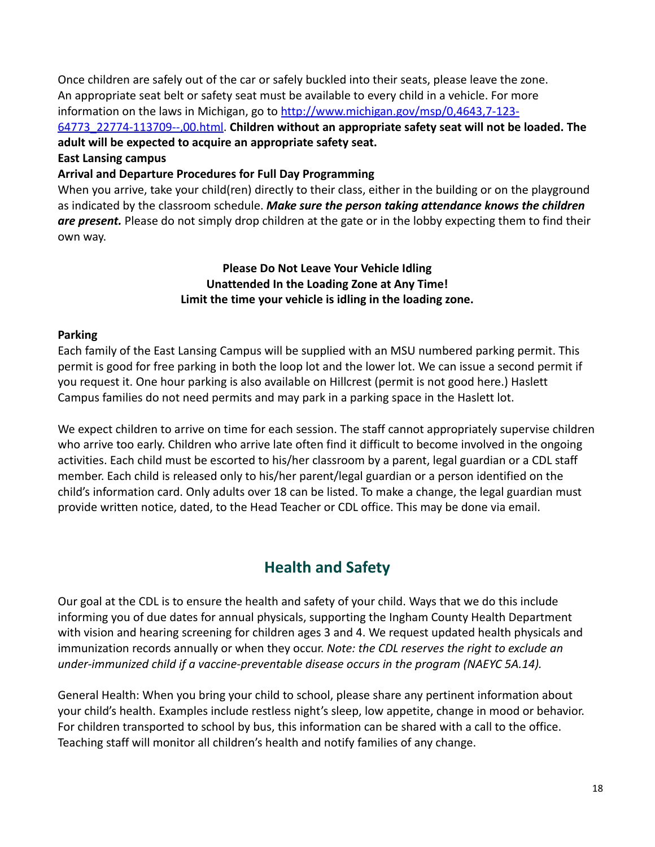Once children are safely out of the car or safely buckled into their seats, please leave the zone. An appropriate seat belt or safety seat must be available to every child in a vehicle. For more information on the laws in Michigan, go to [http://www.michigan.gov/msp/0,4643,7-123-](http://www.michigan.gov/msp/0%2C4643%2C7-123-64773_22774-113709--%2C00.html)

[64773\\_22774-113709--,00.html](http://www.michigan.gov/msp/0%2C4643%2C7-123-64773_22774-113709--%2C00.html). **Children without an appropriate safety seat will not be loaded. The adult will be expected to acquire an appropriate safety seat.**

#### **East Lansing campus**

#### **Arrival and Departure Procedures for Full Day Programming**

When you arrive, take your child(ren) directly to their class, either in the building or on the playground as indicated by the classroom schedule. *Make sure the person taking attendance knows the children are present.* Please do not simply drop children at the gate or in the lobby expecting them to find their own way.

#### **Please Do Not Leave Your Vehicle Idling Unattended In the Loading Zone at Any Time! Limit the time your vehicle is idling in the loading zone.**

#### <span id="page-18-0"></span>**Parking**

Each family of the East Lansing Campus will be supplied with an MSU numbered parking permit. This permit is good for free parking in both the loop lot and the lower lot. We can issue a second permit if you request it. One hour parking is also available on Hillcrest (permit is not good here.) Haslett Campus families do not need permits and may park in a parking space in the Haslett lot.

We expect children to arrive on time for each session. The staff cannot appropriately supervise children who arrive too early. Children who arrive late often find it difficult to become involved in the ongoing activities. Each child must be escorted to his/her classroom by a parent, legal guardian or a CDL staff member. Each child is released only to his/her parent/legal guardian or a person identified on the child's information card. Only adults over 18 can be listed. To make a change, the legal guardian must provide written notice, dated, to the Head Teacher or CDL office. This may be done via email.

# **Health and Safety**

<span id="page-18-1"></span>Our goal at the CDL is to ensure the health and safety of your child. Ways that we do this include informing you of due dates for annual physicals, supporting the Ingham County Health Department with vision and hearing screening for children ages 3 and 4. We request updated health physicals and immunization records annually or when they occur. *Note: the CDL reserves the right to exclude an under-immunized child if a vaccine-preventable disease occurs in the program (NAEYC 5A.14).*

General Health: When you bring your child to school, please share any pertinent information about your child's health. Examples include restless night's sleep, low appetite, change in mood or behavior. For children transported to school by bus, this information can be shared with a call to the office. Teaching staff will monitor all children's health and notify families of any change.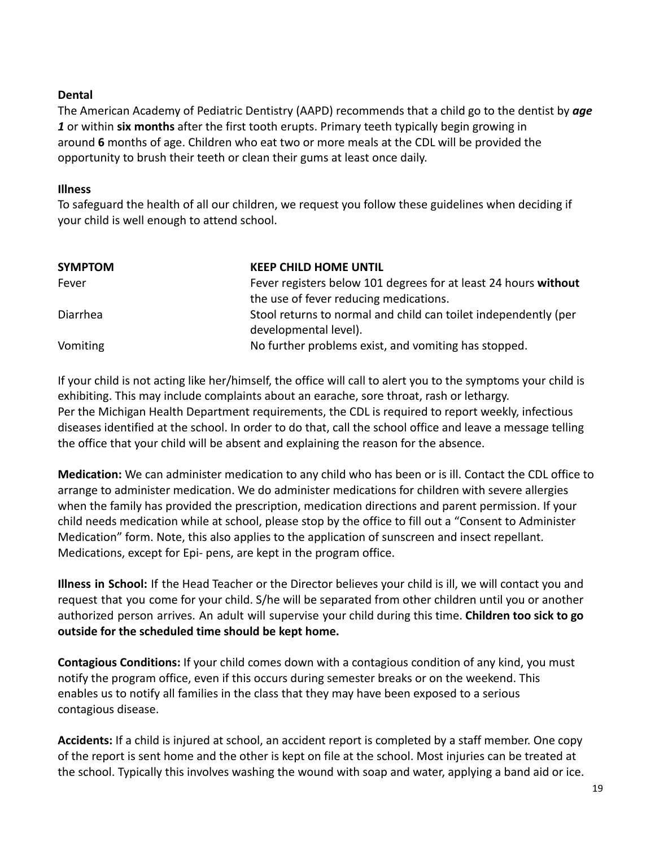#### **Dental**

The American Academy of Pediatric Dentistry (AAPD) recommends that a child go to the dentist by *age 1* or within **six months** after the first tooth erupts. Primary teeth typically begin growing in around **6** months of age. Children who eat two or more meals at the CDL will be provided the opportunity to brush their teeth or clean their gums at least once daily.

#### <span id="page-19-0"></span>**Illness**

To safeguard the health of all our children, we request you follow these guidelines when deciding if your child is well enough to attend school.

| <b>SYMPTOM</b> | <b>KEEP CHILD HOME UNTIL</b>                                    |
|----------------|-----------------------------------------------------------------|
| Fever          | Fever registers below 101 degrees for at least 24 hours without |
|                | the use of fever reducing medications.                          |
| Diarrhea       | Stool returns to normal and child can toilet independently (per |
|                | developmental level).                                           |
| Vomiting       | No further problems exist, and vomiting has stopped.            |

If your child is not acting like her/himself, the office will call to alert you to the symptoms your child is exhibiting. This may include complaints about an earache, sore throat, rash or lethargy. Per the Michigan Health Department requirements, the CDL is required to report weekly, infectious diseases identified at the school. In order to do that, call the school office and leave a message telling the office that your child will be absent and explaining the reason for the absence.

**Medication:** We can administer medication to any child who has been or is ill. Contact the CDL office to arrange to administer medication. We do administer medications for children with severe allergies when the family has provided the prescription, medication directions and parent permission. If your child needs medication while at school, please stop by the office to fill out a "Consent to Administer Medication" form. Note, this also applies to the application of sunscreen and insect repellant. Medications, except for Epi- pens, are kept in the program office.

**Illness in School:** If the Head Teacher or the Director believes your child is ill, we will contact you and request that you come for your child. S/he will be separated from other children until you or another authorized person arrives. An adult will supervise your child during this time. **Children too sick to go outside for the scheduled time should be kept home.**

**Contagious Conditions:** If your child comes down with a contagious condition of any kind, you must notify the program office, even if this occurs during semester breaks or on the weekend. This enables us to notify all families in the class that they may have been exposed to a serious contagious disease.

**Accidents:** If a child is injured at school, an accident report is completed by a staff member. One copy of the report is sent home and the other is kept on file at the school. Most injuries can be treated at the school. Typically this involves washing the wound with soap and water, applying a band aid or ice.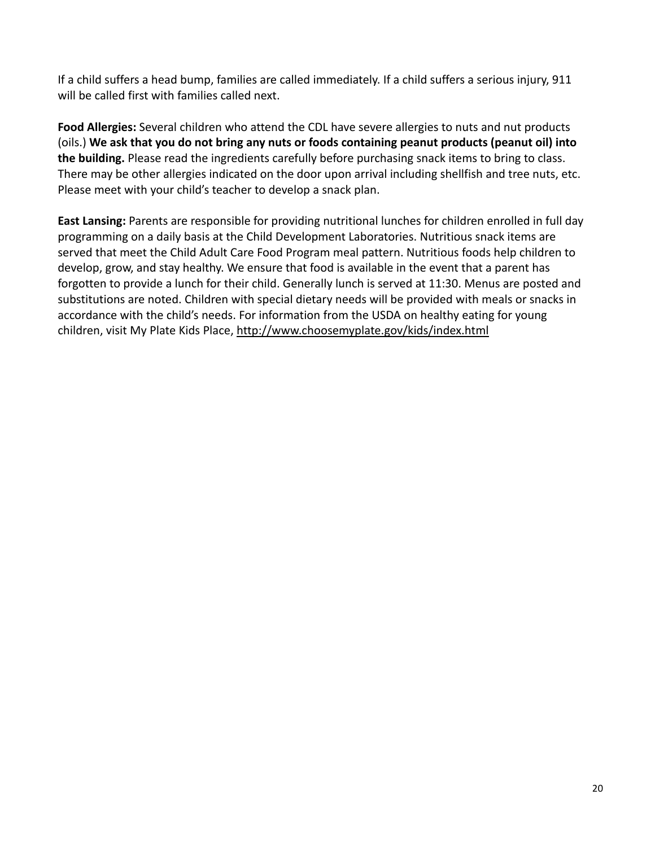If a child suffers a head bump, families are called immediately. If a child suffers a serious injury, 911 will be called first with families called next.

**Food Allergies:** Several children who attend the CDL have severe allergies to nuts and nut products (oils.) **We ask that you do not bring any nuts or foods containing peanut products (peanut oil) into the building.** Please read the ingredients carefully before purchasing snack items to bring to class. There may be other allergies indicated on the door upon arrival including shellfish and tree nuts, etc. Please meet with your child's teacher to develop a snack plan.

**East Lansing:** Parents are responsible for providing nutritional lunches for children enrolled in full day programming on a daily basis at the Child Development Laboratories. Nutritious snack items are served that meet the Child Adult Care Food Program meal pattern. Nutritious foods help children to develop, grow, and stay healthy. We ensure that food is available in the event that a parent has forgotten to provide a lunch for their child. Generally lunch is served at 11:30. Menus are posted and substitutions are noted. Children with special dietary needs will be provided with meals or snacks in accordance with the child's needs. For information from the USDA on healthy eating for young children, visit My Plate Kids Place, <http://www.choosemyplate.gov/kids/index.html>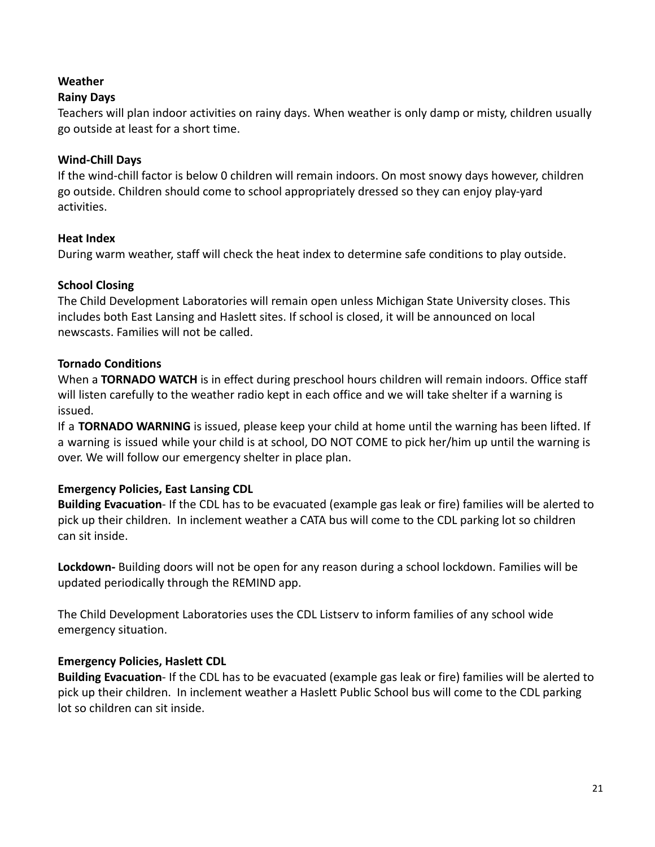#### **Weather**

#### **Rainy Days**

Teachers will plan indoor activities on rainy days. When weather is only damp or misty, children usually go outside at least for a short time.

#### **Wind-Chill Days**

If the wind-chill factor is below 0 children will remain indoors. On most snowy days however, children go outside. Children should come to school appropriately dressed so they can enjoy play-yard activities.

#### **Heat Index**

During warm weather, staff will check the heat index to determine safe conditions to play outside.

#### <span id="page-21-0"></span>**School Closing**

The Child Development Laboratories will remain open unless Michigan State University closes. This includes both East Lansing and Haslett sites. If school is closed, it will be announced on local newscasts. Families will not be called.

#### <span id="page-21-1"></span>**Tornado Conditions**

When a **TORNADO WATCH** is in effect during preschool hours children will remain indoors. Office staff will listen carefully to the weather radio kept in each office and we will take shelter if a warning is issued.

If a **TORNADO WARNING** is issued, please keep your child at home until the warning has been lifted. If a warning is issued while your child is at school, DO NOT COME to pick her/him up until the warning is over. We will follow our emergency shelter in place plan.

#### **Emergency Policies, East Lansing CDL**

**Building Evacuation**- If the CDL has to be evacuated (example gas leak or fire) families will be alerted to pick up their children. In inclement weather a CATA bus will come to the CDL parking lot so children can sit inside.

**Lockdown-** Building doors will not be open for any reason during a school lockdown. Families will be updated periodically through the REMIND app.

The Child Development Laboratories uses the CDL Listserv to inform families of any school wide emergency situation.

#### **Emergency Policies, Haslett CDL**

**Building Evacuation**- If the CDL has to be evacuated (example gas leak or fire) families will be alerted to pick up their children. In inclement weather a Haslett Public School bus will come to the CDL parking lot so children can sit inside.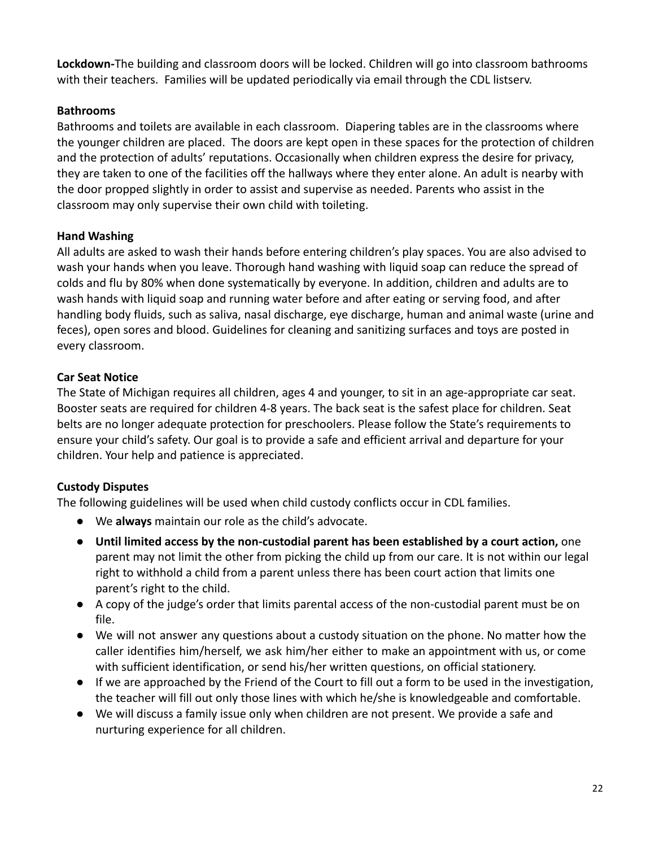**Lockdown-**The building and classroom doors will be locked. Children will go into classroom bathrooms with their teachers. Families will be updated periodically via email through the CDL listserv.

#### <span id="page-22-0"></span>**Bathrooms**

Bathrooms and toilets are available in each classroom. Diapering tables are in the classrooms where the younger children are placed. The doors are kept open in these spaces for the protection of children and the protection of adults' reputations. Occasionally when children express the desire for privacy, they are taken to one of the facilities off the hallways where they enter alone. An adult is nearby with the door propped slightly in order to assist and supervise as needed. Parents who assist in the classroom may only supervise their own child with toileting.

#### <span id="page-22-1"></span>**Hand Washing**

All adults are asked to wash their hands before entering children's play spaces. You are also advised to wash your hands when you leave. Thorough hand washing with liquid soap can reduce the spread of colds and flu by 80% when done systematically by everyone. In addition, children and adults are to wash hands with liquid soap and running water before and after eating or serving food, and after handling body fluids, such as saliva, nasal discharge, eye discharge, human and animal waste (urine and feces), open sores and blood. Guidelines for cleaning and sanitizing surfaces and toys are posted in every classroom.

#### <span id="page-22-2"></span>**Car Seat Notice**

The State of Michigan requires all children, ages 4 and younger, to sit in an age-appropriate car seat. Booster seats are required for children 4-8 years. The back seat is the safest place for children. Seat belts are no longer adequate protection for preschoolers. Please follow the State's requirements to ensure your child's safety. Our goal is to provide a safe and efficient arrival and departure for your children. Your help and patience is appreciated.

#### <span id="page-22-3"></span>**Custody Disputes**

The following guidelines will be used when child custody conflicts occur in CDL families.

- We **always** maintain our role as the child's advocate.
- **Until limited access by the non-custodial parent has been established by a court action,** one parent may not limit the other from picking the child up from our care. It is not within our legal right to withhold a child from a parent unless there has been court action that limits one parent's right to the child.
- A copy of the judge's order that limits parental access of the non-custodial parent must be on file.
- We will not answer any questions about a custody situation on the phone. No matter how the caller identifies him/herself, we ask him/her either to make an appointment with us, or come with sufficient identification, or send his/her written questions, on official stationery.
- If we are approached by the Friend of the Court to fill out a form to be used in the investigation, the teacher will fill out only those lines with which he/she is knowledgeable and comfortable.
- <span id="page-22-4"></span>● We will discuss a family issue only when children are not present. We provide a safe and nurturing experience for all children.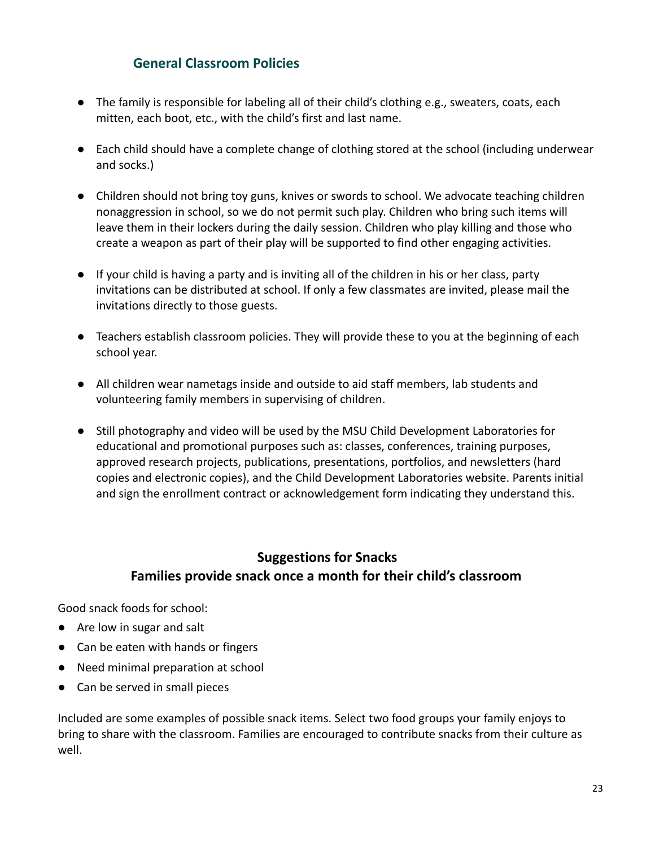#### **General Classroom Policies**

- The family is responsible for labeling all of their child's clothing e.g., sweaters, coats, each mitten, each boot, etc., with the child's first and last name.
- Each child should have a complete change of clothing stored at the school (including underwear and socks.)
- Children should not bring toy guns, knives or swords to school. We advocate teaching children nonaggression in school, so we do not permit such play. Children who bring such items will leave them in their lockers during the daily session. Children who play killing and those who create a weapon as part of their play will be supported to find other engaging activities.
- If your child is having a party and is inviting all of the children in his or her class, party invitations can be distributed at school. If only a few classmates are invited, please mail the invitations directly to those guests.
- Teachers establish classroom policies. They will provide these to you at the beginning of each school year.
- All children wear nametags inside and outside to aid staff members, lab students and volunteering family members in supervising of children.
- Still photography and video will be used by the MSU Child Development Laboratories for educational and promotional purposes such as: classes, conferences, training purposes, approved research projects, publications, presentations, portfolios, and newsletters (hard copies and electronic copies), and the Child Development Laboratories website. Parents initial and sign the enrollment contract or acknowledgement form indicating they understand this.

### **Suggestions for Snacks Families provide snack once a month for their child's classroom**

Good snack foods for school:

- Are low in sugar and salt
- Can be eaten with hands or fingers
- Need minimal preparation at school
- Can be served in small pieces

Included are some examples of possible snack items. Select two food groups your family enjoys to bring to share with the classroom. Families are encouraged to contribute snacks from their culture as well.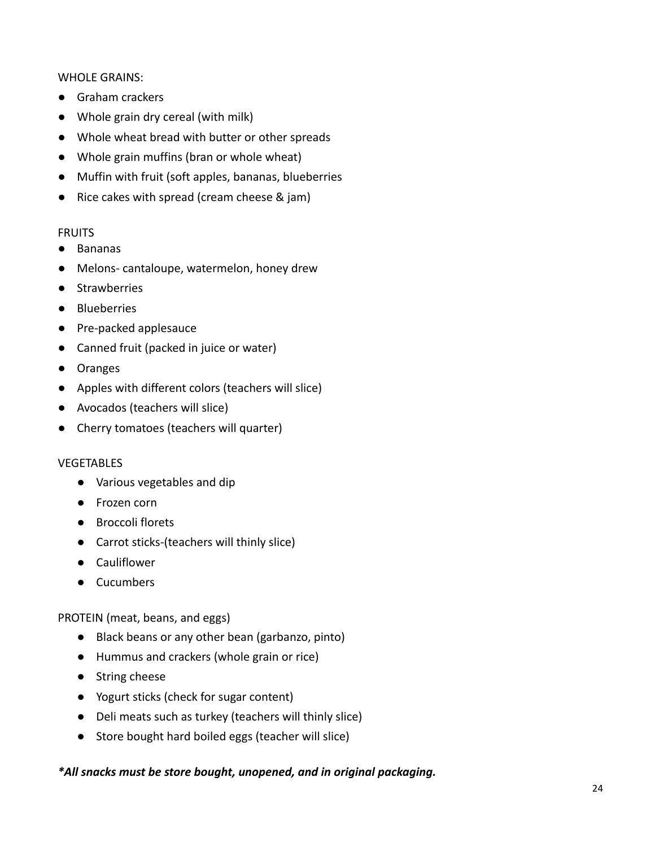WHOLE GRAINS:

- Graham crackers
- Whole grain dry cereal (with milk)
- Whole wheat bread with butter or other spreads
- Whole grain muffins (bran or whole wheat)
- Muffin with fruit (soft apples, bananas, blueberries
- Rice cakes with spread (cream cheese & jam)

#### **FRUITS**

- Bananas
- Melons- cantaloupe, watermelon, honey drew
- Strawberries
- Blueberries
- Pre-packed applesauce
- Canned fruit (packed in juice or water)
- Oranges
- Apples with different colors (teachers will slice)
- Avocados (teachers will slice)
- Cherry tomatoes (teachers will quarter)

#### VEGETABLES

- Various vegetables and dip
- Frozen corn
- Broccoli florets
- Carrot sticks-(teachers will thinly slice)
- Cauliflower
- Cucumbers

#### PROTEIN (meat, beans, and eggs)

- Black beans or any other bean (garbanzo, pinto)
- Hummus and crackers (whole grain or rice)
- String cheese
- Yogurt sticks (check for sugar content)
- Deli meats such as turkey (teachers will thinly slice)
- Store bought hard boiled eggs (teacher will slice)

#### *\*All snacks must be store bought, unopened, and in original packaging.*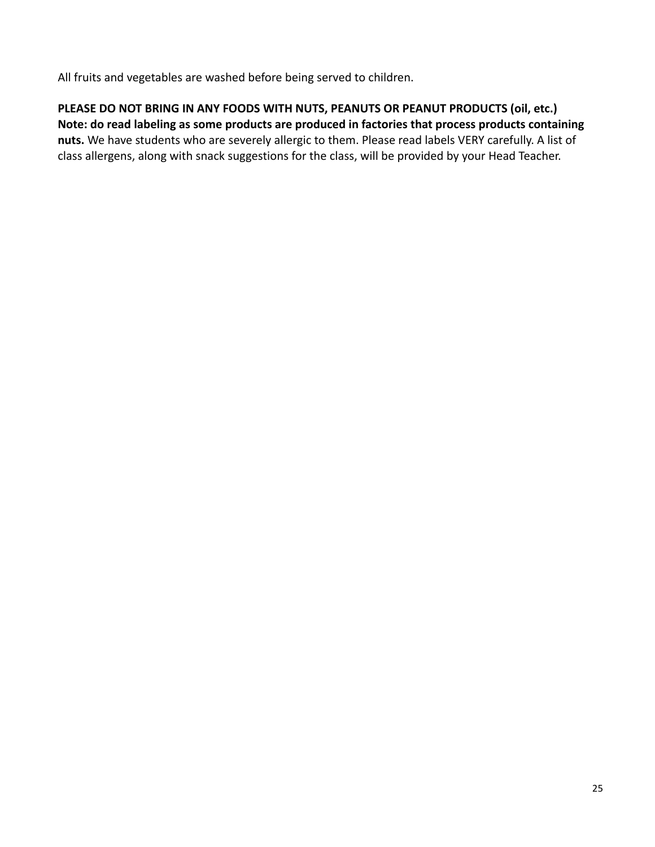All fruits and vegetables are washed before being served to children.

**PLEASE DO NOT BRING IN ANY FOODS WITH NUTS, PEANUTS OR PEANUT PRODUCTS (oil, etc.) Note: do read labeling as some products are produced in factories that process products containing nuts.** We have students who are severely allergic to them. Please read labels VERY carefully. A list of class allergens, along with snack suggestions for the class, will be provided by your Head Teacher.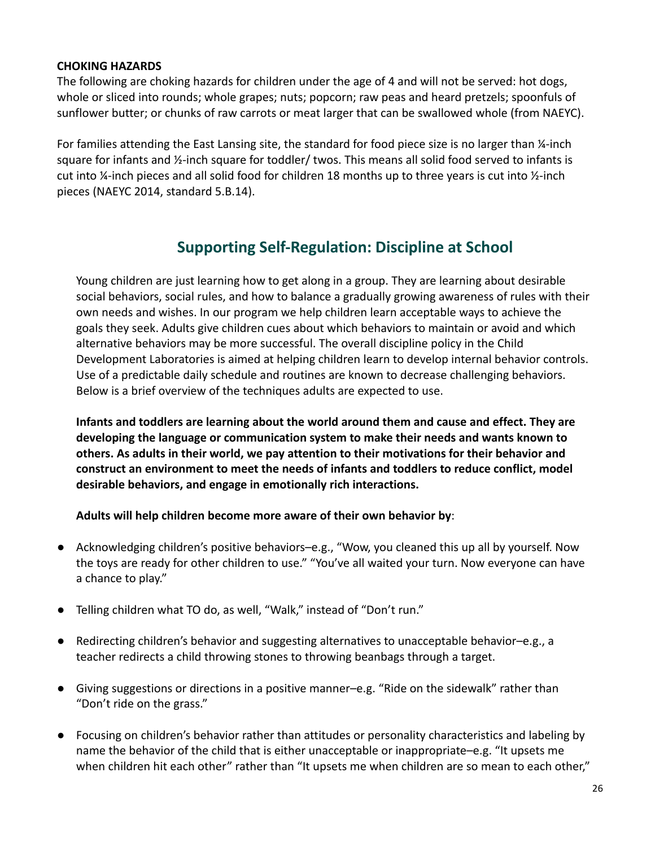#### **CHOKING HAZARDS**

The following are choking hazards for children under the age of 4 and will not be served: hot dogs, whole or sliced into rounds; whole grapes; nuts; popcorn; raw peas and heard pretzels; spoonfuls of sunflower butter; or chunks of raw carrots or meat larger that can be swallowed whole (from NAEYC).

For families attending the East Lansing site, the standard for food piece size is no larger than ¼-inch square for infants and ½-inch square for toddler/ twos. This means all solid food served to infants is cut into ¼-inch pieces and all solid food for children 18 months up to three years is cut into ½-inch pieces (NAEYC 2014, standard 5.B.14).

### **Supporting Self-Regulation: Discipline at School**

Young children are just learning how to get along in a group. They are learning about desirable social behaviors, social rules, and how to balance a gradually growing awareness of rules with their own needs and wishes. In our program we help children learn acceptable ways to achieve the goals they seek. Adults give children cues about which behaviors to maintain or avoid and which alternative behaviors may be more successful. The overall discipline policy in the Child Development Laboratories is aimed at helping children learn to develop internal behavior controls. Use of a predictable daily schedule and routines are known to decrease challenging behaviors. Below is a brief overview of the techniques adults are expected to use.

**Infants and toddlers are learning about the world around them and cause and effect. They are developing the language or communication system to make their needs and wants known to others. As adults in their world, we pay attention to their motivations for their behavior and construct an environment to meet the needs of infants and toddlers to reduce conflict, model desirable behaviors, and engage in emotionally rich interactions.**

**Adults will help children become more aware of their own behavior by**:

- Acknowledging children's positive behaviors–e.g., "Wow, you cleaned this up all by yourself. Now the toys are ready for other children to use." "You've all waited your turn. Now everyone can have a chance to play."
- Telling children what TO do, as well, "Walk," instead of "Don't run."
- Redirecting children's behavior and suggesting alternatives to unacceptable behavior–e.g., a teacher redirects a child throwing stones to throwing beanbags through a target.
- Giving suggestions or directions in a positive manner–e.g. "Ride on the sidewalk" rather than "Don't ride on the grass."
- Focusing on children's behavior rather than attitudes or personality characteristics and labeling by name the behavior of the child that is either unacceptable or inappropriate–e.g. "It upsets me when children hit each other" rather than "It upsets me when children are so mean to each other,"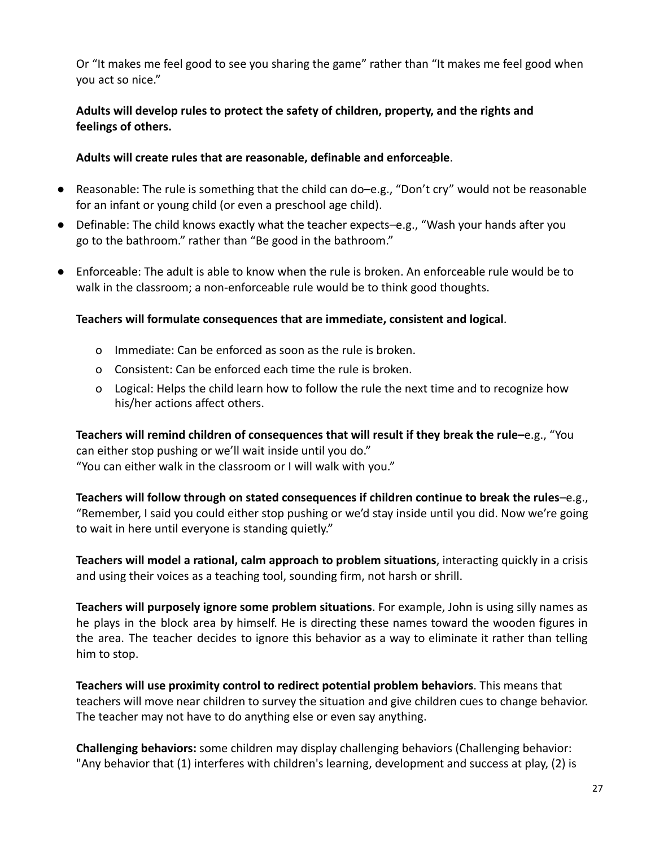Or "It makes me feel good to see you sharing the game" rather than "It makes me feel good when you act so nice."

#### **Adults will develop rules to protect the safety of children, property, and the rights and feelings of others.**

#### **Adults will create rules that are reasonable, definable and enforceable**.

- Reasonable: The rule is something that the child can do–e.g., "Don't cry" would not be reasonable for an infant or young child (or even a preschool age child).
- Definable: The child knows exactly what the teacher expects–e.g., "Wash your hands after you go to the bathroom." rather than "Be good in the bathroom."
- Enforceable: The adult is able to know when the rule is broken. An enforceable rule would be to walk in the classroom; a non-enforceable rule would be to think good thoughts.

#### **Teachers will formulate consequences that are immediate, consistent and logical**.

- o Immediate: Can be enforced as soon as the rule is broken.
- o Consistent: Can be enforced each time the rule is broken.
- o Logical: Helps the child learn how to follow the rule the next time and to recognize how his/her actions affect others.

**Teachers will remind children of consequences that will result if they break the rule–**e.g., "You can either stop pushing or we'll wait inside until you do." "You can either walk in the classroom or I will walk with you."

**Teachers will follow through on stated consequences if children continue to break the rules**–e.g., "Remember, I said you could either stop pushing or we'd stay inside until you did. Now we're going to wait in here until everyone is standing quietly."

**Teachers will model a rational, calm approach to problem situations**, interacting quickly in a crisis and using their voices as a teaching tool, sounding firm, not harsh or shrill.

**Teachers will purposely ignore some problem situations**. For example, John is using silly names as he plays in the block area by himself. He is directing these names toward the wooden figures in the area. The teacher decides to ignore this behavior as a way to eliminate it rather than telling him to stop.

**Teachers will use proximity control to redirect potential problem behaviors**. This means that teachers will move near children to survey the situation and give children cues to change behavior. The teacher may not have to do anything else or even say anything.

**Challenging behaviors:** some children may display challenging behaviors (Challenging behavior: "Any behavior that (1) interferes with children's learning, development and success at play, (2) is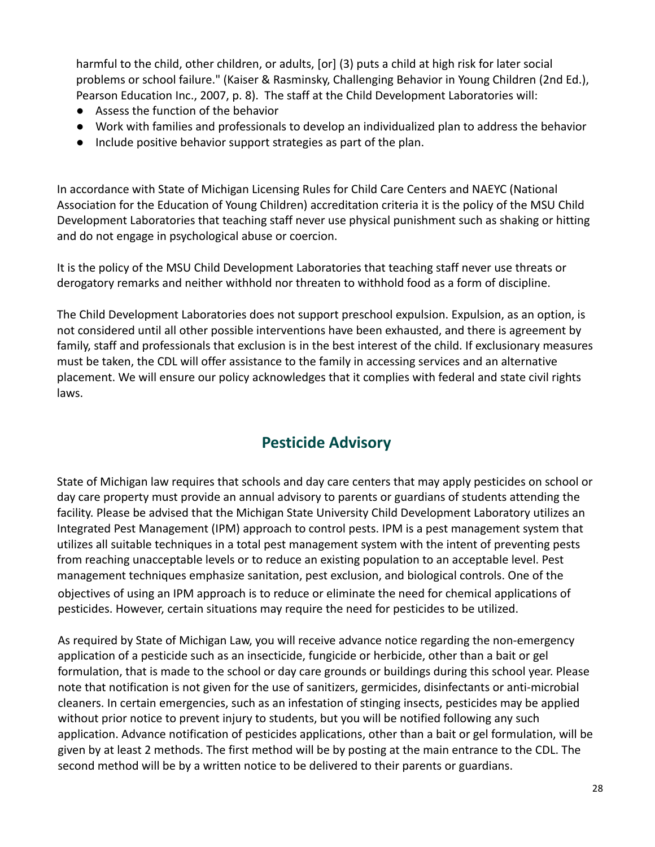harmful to the child, other children, or adults, [or] (3) puts a child at high risk for later social problems or school failure." (Kaiser & Rasminsky, Challenging Behavior in Young Children (2nd Ed.), Pearson Education Inc., 2007, p. 8). The staff at the Child Development Laboratories will:

- Assess the function of the behavior
- Work with families and professionals to develop an individualized plan to address the behavior
- Include positive behavior support strategies as part of the plan.

In accordance with State of Michigan Licensing Rules for Child Care Centers and NAEYC (National Association for the Education of Young Children) accreditation criteria it is the policy of the MSU Child Development Laboratories that teaching staff never use physical punishment such as shaking or hitting and do not engage in psychological abuse or coercion.

It is the policy of the MSU Child Development Laboratories that teaching staff never use threats or derogatory remarks and neither withhold nor threaten to withhold food as a form of discipline.

The Child Development Laboratories does not support preschool expulsion. Expulsion, as an option, is not considered until all other possible interventions have been exhausted, and there is agreement by family, staff and professionals that exclusion is in the best interest of the child. If exclusionary measures must be taken, the CDL will offer assistance to the family in accessing services and an alternative placement. We will ensure our policy acknowledges that it complies with federal and state civil rights laws.

# **Pesticide Advisory**

State of Michigan law requires that schools and day care centers that may apply pesticides on school or day care property must provide an annual advisory to parents or guardians of students attending the facility. Please be advised that the Michigan State University Child Development Laboratory utilizes an Integrated Pest Management (IPM) approach to control pests. IPM is a pest management system that utilizes all suitable techniques in a total pest management system with the intent of preventing pests from reaching unacceptable levels or to reduce an existing population to an acceptable level. Pest management techniques emphasize sanitation, pest exclusion, and biological controls. One of the objectives of using an IPM approach is to reduce or eliminate the need for chemical applications of pesticides. However, certain situations may require the need for pesticides to be utilized.

As required by State of Michigan Law, you will receive advance notice regarding the non-emergency application of a pesticide such as an insecticide, fungicide or herbicide, other than a bait or gel formulation, that is made to the school or day care grounds or buildings during this school year. Please note that notification is not given for the use of sanitizers, germicides, disinfectants or anti-microbial cleaners. In certain emergencies, such as an infestation of stinging insects, pesticides may be applied without prior notice to prevent injury to students, but you will be notified following any such application. Advance notification of pesticides applications, other than a bait or gel formulation, will be given by at least 2 methods. The first method will be by posting at the main entrance to the CDL. The second method will be by a written notice to be delivered to their parents or guardians.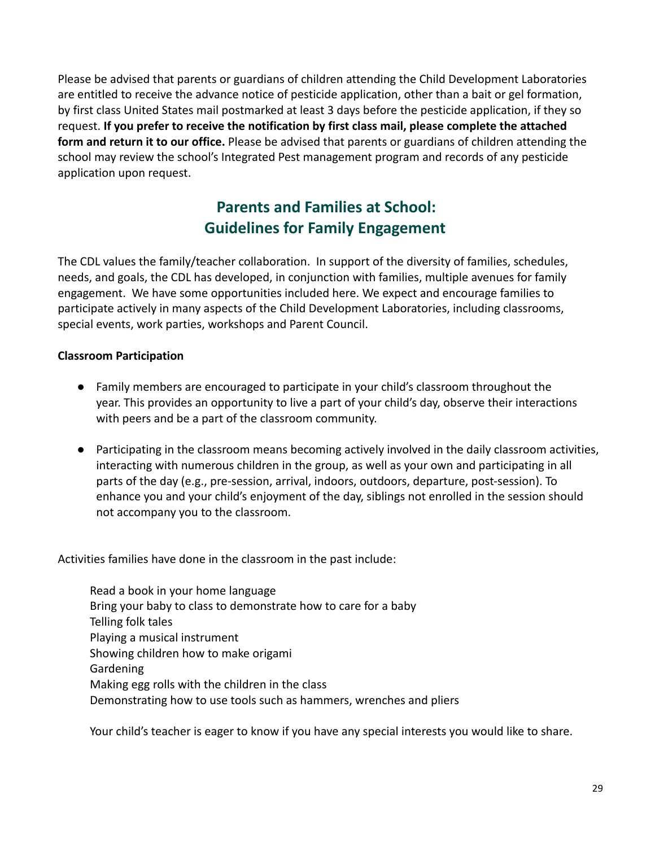Please be advised that parents or guardians of children attending the Child Development Laboratories are entitled to receive the advance notice of pesticide application, other than a bait or gel formation, by first class United States mail postmarked at least 3 days before the pesticide application, if they so request. **If you prefer to receive the notification by first class mail, please complete the attached form and return it to our office.** Please be advised that parents or guardians of children attending the school may review the school's Integrated Pest management program and records of any pesticide application upon request.

# **Parents and Families at School: Guidelines for Family Engagement**

<span id="page-29-0"></span>The CDL values the family/teacher collaboration. In support of the diversity of families, schedules, needs, and goals, the CDL has developed, in conjunction with families, multiple avenues for family engagement. We have some opportunities included here. We expect and encourage families to participate actively in many aspects of the Child Development Laboratories, including classrooms, special events, work parties, workshops and Parent Council.

#### <span id="page-29-1"></span>**Classroom Participation**

- Family members are encouraged to participate in your child's classroom throughout the year. This provides an opportunity to live a part of your child's day, observe their interactions with peers and be a part of the classroom community.
- Participating in the classroom means becoming actively involved in the daily classroom activities, interacting with numerous children in the group, as well as your own and participating in all parts of the day (e.g., pre-session, arrival, indoors, outdoors, departure, post-session). To enhance you and your child's enjoyment of the day, siblings not enrolled in the session should not accompany you to the classroom.

<span id="page-29-2"></span>Activities families have done in the classroom in the past include:

Read a book in your home language Bring your baby to class to demonstrate how to care for a baby Telling folk tales Playing a musical instrument Showing children how to make origami Gardening Making egg rolls with the children in the class Demonstrating how to use tools such as hammers, wrenches and pliers

<span id="page-29-3"></span>Your child's teacher is eager to know if you have any special interests you would like to share.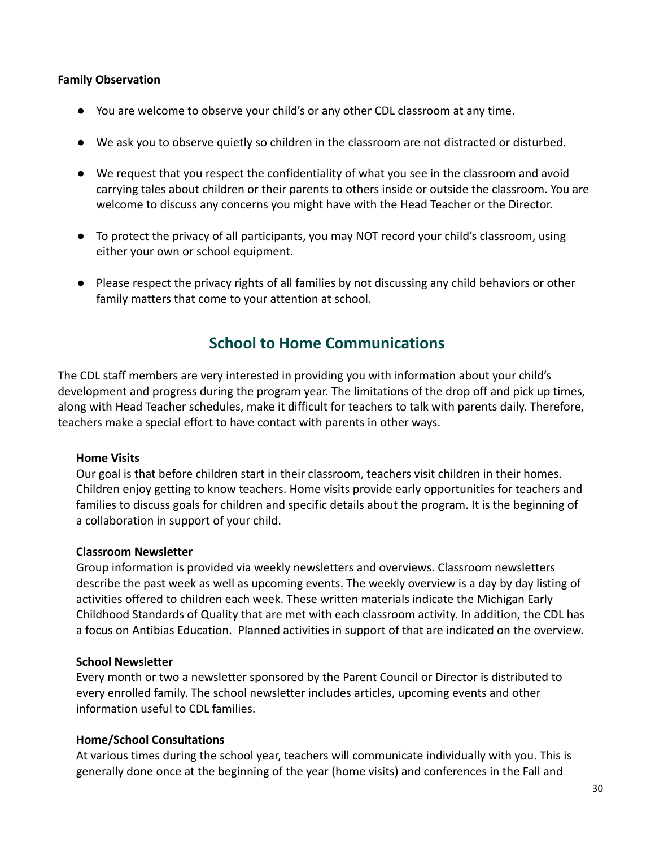#### **Family Observation**

- You are welcome to observe your child's or any other CDL classroom at any time.
- We ask you to observe quietly so children in the classroom are not distracted or disturbed.
- We request that you respect the confidentiality of what you see in the classroom and avoid carrying tales about children or their parents to others inside or outside the classroom. You are welcome to discuss any concerns you might have with the Head Teacher or the Director.
- To protect the privacy of all participants, you may NOT record your child's classroom, using either your own or school equipment.
- Please respect the privacy rights of all families by not discussing any child behaviors or other family matters that come to your attention at school.

### **School to Home Communications**

<span id="page-30-0"></span>The CDL staff members are very interested in providing you with information about your child's development and progress during the program year. The limitations of the drop off and pick up times, along with Head Teacher schedules, make it difficult for teachers to talk with parents daily. Therefore, teachers make a special effort to have contact with parents in other ways.

#### <span id="page-30-1"></span>**Home Visits**

Our goal is that before children start in their classroom, teachers visit children in their homes. Children enjoy getting to know teachers. Home visits provide early opportunities for teachers and families to discuss goals for children and specific details about the program. It is the beginning of a collaboration in support of your child.

#### <span id="page-30-2"></span>**Classroom Newsletter**

Group information is provided via weekly newsletters and overviews. Classroom newsletters describe the past week as well as upcoming events. The weekly overview is a day by day listing of activities offered to children each week. These written materials indicate the Michigan Early Childhood Standards of Quality that are met with each classroom activity. In addition, the CDL has a focus on Antibias Education. Planned activities in support of that are indicated on the overview.

#### <span id="page-30-3"></span>**School Newsletter**

Every month or two a newsletter sponsored by the Parent Council or Director is distributed to every enrolled family. The school newsletter includes articles, upcoming events and other information useful to CDL families.

#### <span id="page-30-4"></span>**Home/School Consultations**

At various times during the school year, teachers will communicate individually with you. This is generally done once at the beginning of the year (home visits) and conferences in the Fall and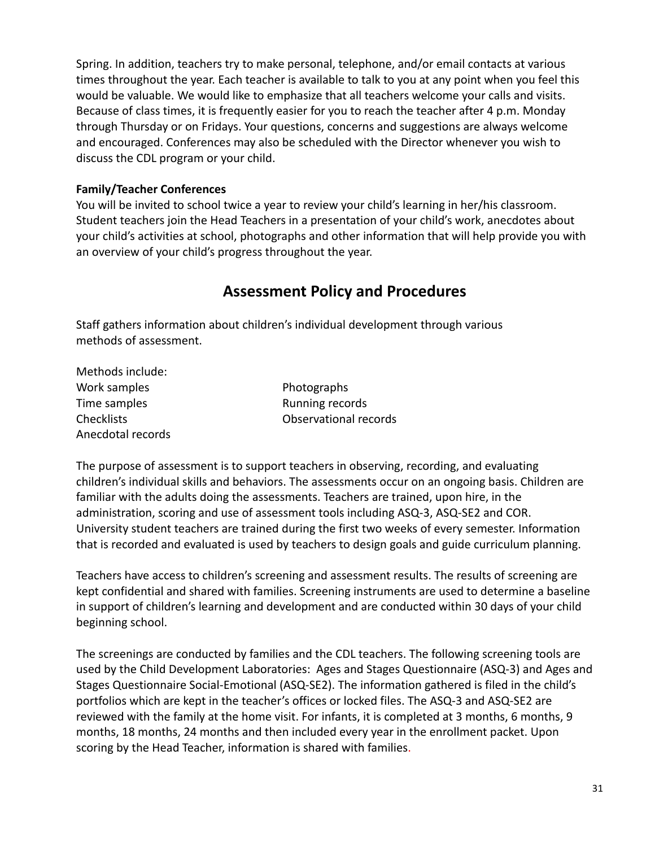Spring. In addition, teachers try to make personal, telephone, and/or email contacts at various times throughout the year. Each teacher is available to talk to you at any point when you feel this would be valuable. We would like to emphasize that all teachers welcome your calls and visits. Because of class times, it is frequently easier for you to reach the teacher after 4 p.m. Monday through Thursday or on Fridays. Your questions, concerns and suggestions are always welcome and encouraged. Conferences may also be scheduled with the Director whenever you wish to discuss the CDL program or your child.

#### <span id="page-31-0"></span>**Family/Teacher Conferences**

<span id="page-31-1"></span>You will be invited to school twice a year to review your child's learning in her/his classroom. Student teachers join the Head Teachers in a presentation of your child's work, anecdotes about your child's activities at school, photographs and other information that will help provide you with an overview of your child's progress throughout the year.

### **Assessment Policy and Procedures**

Staff gathers information about children's individual development through various methods of assessment.

| Methods include:  |
|-------------------|
| Work samples      |
| Time samples      |
| Checklists        |
| Anecdotal records |

Photographs Running records Observational records

The purpose of assessment is to support teachers in observing, recording, and evaluating children's individual skills and behaviors. The assessments occur on an ongoing basis. Children are familiar with the adults doing the assessments. Teachers are trained, upon hire, in the administration, scoring and use of assessment tools including ASQ-3, ASQ-SE2 and COR. University student teachers are trained during the first two weeks of every semester. Information that is recorded and evaluated is used by teachers to design goals and guide curriculum planning.

Teachers have access to children's screening and assessment results. The results of screening are kept confidential and shared with families. Screening instruments are used to determine a baseline in support of children's learning and development and are conducted within 30 days of your child beginning school.

The screenings are conducted by families and the CDL teachers. The following screening tools are used by the Child Development Laboratories: Ages and Stages Questionnaire (ASQ-3) and Ages and Stages Questionnaire Social-Emotional (ASQ-SE2). The information gathered is filed in the child's portfolios which are kept in the teacher's offices or locked files. The ASQ-3 and ASQ-SE2 are reviewed with the family at the home visit. For infants, it is completed at 3 months, 6 months, 9 months, 18 months, 24 months and then included every year in the enrollment packet. Upon scoring by the Head Teacher, information is shared with families.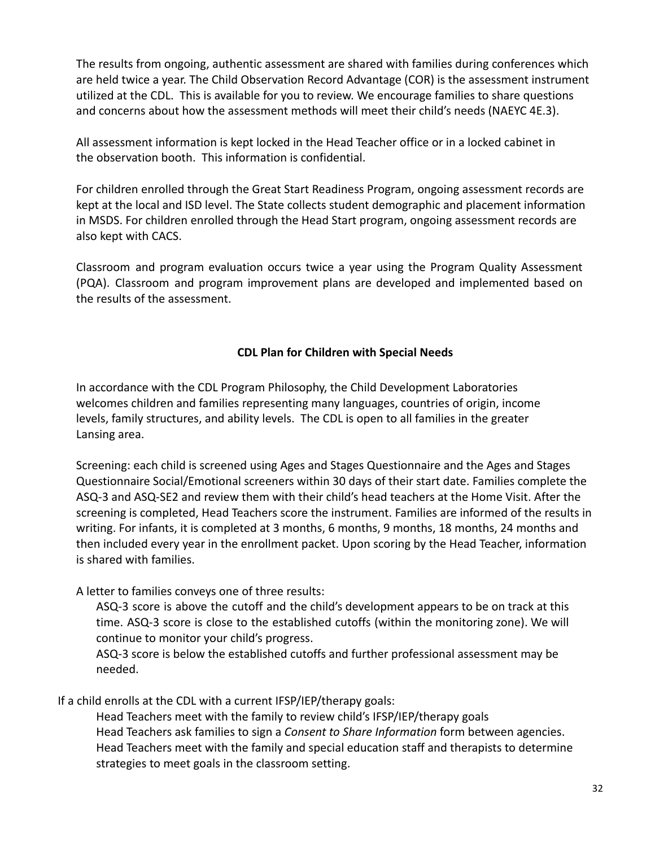The results from ongoing, authentic assessment are shared with families during conferences which are held twice a year. The Child Observation Record Advantage (COR) is the assessment instrument utilized at the CDL. This is available for you to review. We encourage families to share questions and concerns about how the assessment methods will meet their child's needs (NAEYC 4E.3).

All assessment information is kept locked in the Head Teacher office or in a locked cabinet in the observation booth. This information is confidential.

For children enrolled through the Great Start Readiness Program, ongoing assessment records are kept at the local and ISD level. The State collects student demographic and placement information in MSDS. For children enrolled through the Head Start program, ongoing assessment records are also kept with CACS.

Classroom and program evaluation occurs twice a year using the Program Quality Assessment (PQA). Classroom and program improvement plans are developed and implemented based on the results of the assessment.

#### **CDL Plan for Children with Special Needs**

In accordance with the CDL Program Philosophy, the Child Development Laboratories welcomes children and families representing many languages, countries of origin, income levels, family structures, and ability levels. The CDL is open to all families in the greater Lansing area.

Screening: each child is screened using Ages and Stages Questionnaire and the Ages and Stages Questionnaire Social/Emotional screeners within 30 days of their start date. Families complete the ASQ-3 and ASQ-SE2 and review them with their child's head teachers at the Home Visit. After the screening is completed, Head Teachers score the instrument. Families are informed of the results in writing. For infants, it is completed at 3 months, 6 months, 9 months, 18 months, 24 months and then included every year in the enrollment packet. Upon scoring by the Head Teacher, information is shared with families.

A letter to families conveys one of three results:

ASQ-3 score is above the cutoff and the child's development appears to be on track at this time. ASQ-3 score is close to the established cutoffs (within the monitoring zone). We will continue to monitor your child's progress.

ASQ-3 score is below the established cutoffs and further professional assessment may be needed.

If a child enrolls at the CDL with a current IFSP/IEP/therapy goals:

Head Teachers meet with the family to review child's IFSP/IEP/therapy goals Head Teachers ask families to sign a *Consent to Share Information* form between agencies. Head Teachers meet with the family and special education staff and therapists to determine strategies to meet goals in the classroom setting.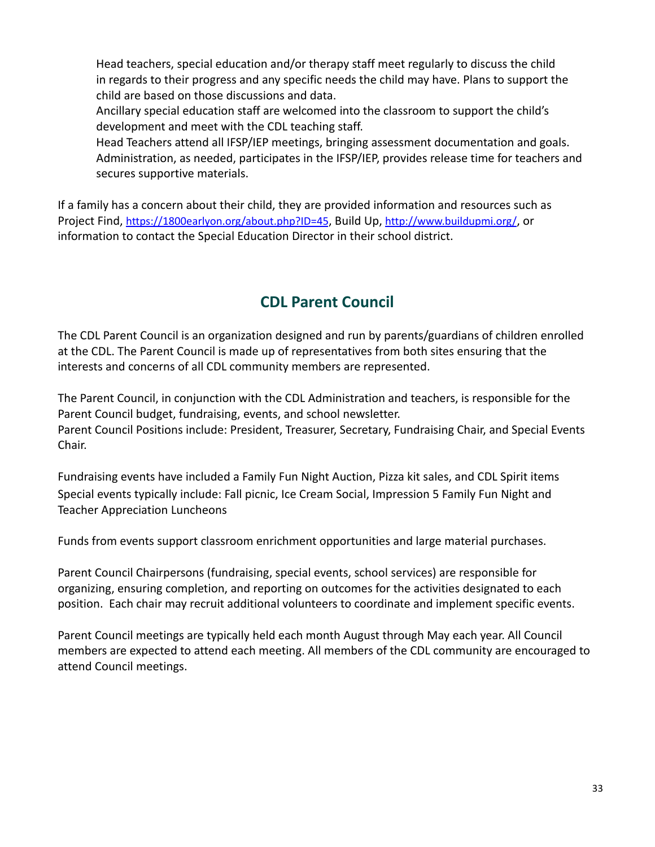Head teachers, special education and/or therapy staff meet regularly to discuss the child in regards to their progress and any specific needs the child may have. Plans to support the child are based on those discussions and data.

Ancillary special education staff are welcomed into the classroom to support the child's development and meet with the CDL teaching staff.

Head Teachers attend all IFSP/IEP meetings, bringing assessment documentation and goals. Administration, as needed, participates in the IFSP/IEP, provides release time for teachers and secures supportive materials.

If a family has a concern about their child, they are provided information and resources such as Project Find, <https://1800earlyon.org/about.php?ID=45>, Build Up, <http://www.buildupmi.org/>, or information to contact the Special Education Director in their school district.

# **CDL Parent Council**

<span id="page-33-0"></span>The CDL Parent Council is an organization designed and run by parents/guardians of children enrolled at the CDL. The Parent Council is made up of representatives from both sites ensuring that the interests and concerns of all CDL community members are represented.

The Parent Council, in conjunction with the CDL Administration and teachers, is responsible for the Parent Council budget, fundraising, events, and school newsletter. Parent Council Positions include: President, Treasurer, Secretary, Fundraising Chair, and Special Events Chair.

Fundraising events have included a Family Fun Night Auction, Pizza kit sales, and CDL Spirit items Special events typically include: Fall picnic, Ice Cream Social, Impression 5 Family Fun Night and Teacher Appreciation Luncheons

Funds from events support classroom enrichment opportunities and large material purchases.

Parent Council Chairpersons (fundraising, special events, school services) are responsible for organizing, ensuring completion, and reporting on outcomes for the activities designated to each position. Each chair may recruit additional volunteers to coordinate and implement specific events.

Parent Council meetings are typically held each month August through May each year. All Council members are expected to attend each meeting. All members of the CDL community are encouraged to attend Council meetings.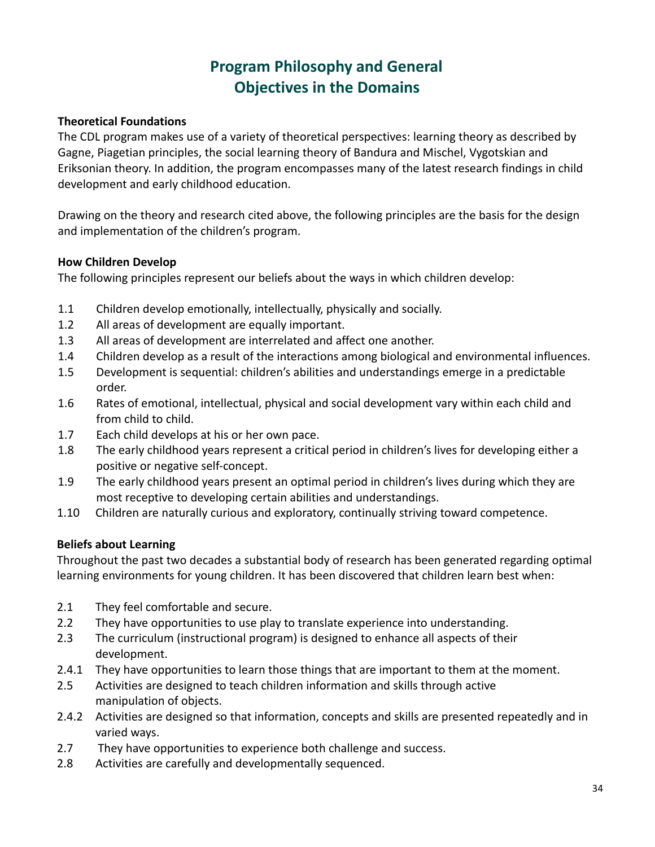# **Program Philosophy and General Objectives in the Domains**

#### <span id="page-34-0"></span>**Theoretical Foundations**

The CDL program makes use of a variety of theoretical perspectives: learning theory as described by Gagne, Piagetian principles, the social learning theory of Bandura and Mischel, Vygotskian and Eriksonian theory. In addition, the program encompasses many of the latest research findings in child development and early childhood education.

Drawing on the theory and research cited above, the following principles are the basis for the design and implementation of the children's program.

#### <span id="page-34-1"></span>**How Children Develop**

The following principles represent our beliefs about the ways in which children develop:

- 1.1 Children develop emotionally, intellectually, physically and socially.
- 1.2 All areas of development are equally important.
- 1.3 All areas of development are interrelated and affect one another.
- 1.4 Children develop as a result of the interactions among biological and environmental influences.
- 1.5 Development is sequential: children's abilities and understandings emerge in a predictable order.
- 1.6 Rates of emotional, intellectual, physical and social development vary within each child and from child to child.
- 1.7 Each child develops at his or her own pace.
- 1.8 The early childhood years represent a critical period in children's lives for developing either a positive or negative self-concept.
- 1.9 The early childhood years present an optimal period in children's lives during which they are most receptive to developing certain abilities and understandings.
- 1.10 Children are naturally curious and exploratory, continually striving toward competence.

#### <span id="page-34-2"></span>**Beliefs about Learning**

Throughout the past two decades a substantial body of research has been generated regarding optimal learning environments for young children. It has been discovered that children learn best when:

- 2.1 They feel comfortable and secure.
- 2.2 They have opportunities to use play to translate experience into understanding.
- 2.3 The curriculum (instructional program) is designed to enhance all aspects of their development.
- 2.4.1 They have opportunities to learn those things that are important to them at the moment.
- 2.5 Activities are designed to teach children information and skills through active manipulation of objects.
- 2.4.2 Activities are designed so that information, concepts and skills are presented repeatedly and in varied ways.
- 2.7 They have opportunities to experience both challenge and success.
- 2.8 Activities are carefully and developmentally sequenced.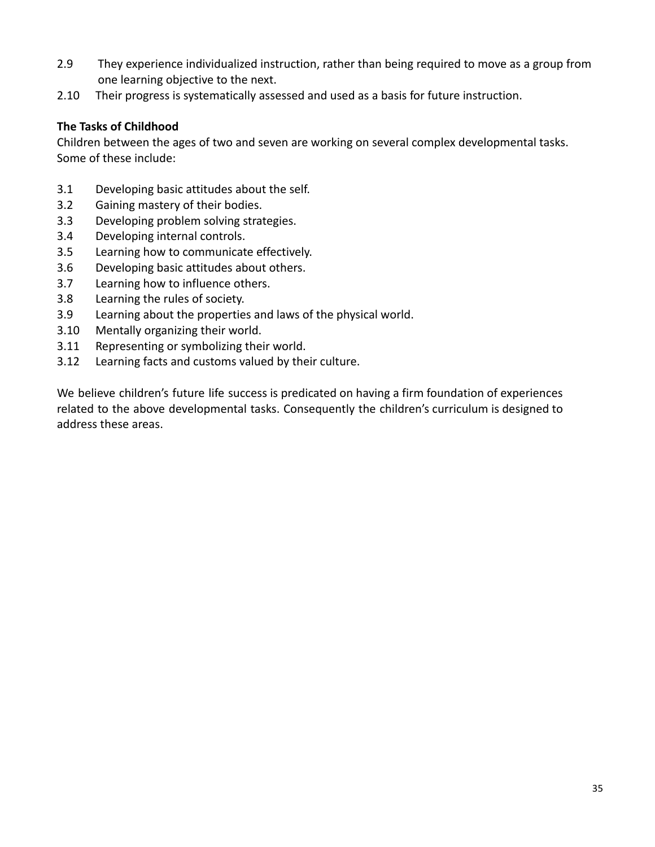- 2.9 They experience individualized instruction, rather than being required to move as a group from one learning objective to the next.
- 2.10 Their progress is systematically assessed and used as a basis for future instruction.

#### <span id="page-35-0"></span>**The Tasks of Childhood**

Children between the ages of two and seven are working on several complex developmental tasks. Some of these include:

- 3.1 Developing basic attitudes about the self.
- 3.2 Gaining mastery of their bodies.
- 3.3 Developing problem solving strategies.
- 3.4 Developing internal controls.
- 3.5 Learning how to communicate effectively.
- 3.6 Developing basic attitudes about others.
- 3.7 Learning how to influence others.
- 3.8 Learning the rules of society.
- 3.9 Learning about the properties and laws of the physical world.
- 3.10 Mentally organizing their world.
- 3.11 Representing or symbolizing their world.
- 3.12 Learning facts and customs valued by their culture.

We believe children's future life success is predicated on having a firm foundation of experiences related to the above developmental tasks. Consequently the children's curriculum is designed to address these areas.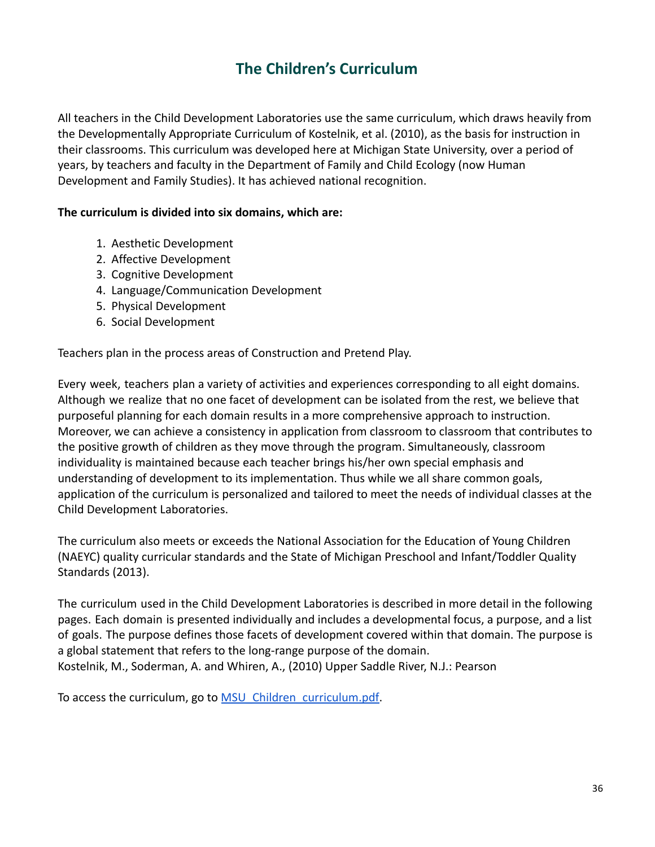### **The Children's Curriculum**

<span id="page-36-0"></span>All teachers in the Child Development Laboratories use the same curriculum, which draws heavily from the Developmentally Appropriate Curriculum of Kostelnik, et al. (2010), as the basis for instruction in their classrooms. This curriculum was developed here at Michigan State University, over a period of years, by teachers and faculty in the Department of Family and Child Ecology (now Human Development and Family Studies). It has achieved national recognition.

#### **The curriculum is divided into six domains, which are:**

- 1. Aesthetic Development
- 2. Affective Development
- 3. Cognitive Development
- 4. Language/Communication Development
- 5. Physical Development
- 6. Social Development

Teachers plan in the process areas of Construction and Pretend Play.

Every week, teachers plan a variety of activities and experiences corresponding to all eight domains. Although we realize that no one facet of development can be isolated from the rest, we believe that purposeful planning for each domain results in a more comprehensive approach to instruction. Moreover, we can achieve a consistency in application from classroom to classroom that contributes to the positive growth of children as they move through the program. Simultaneously, classroom individuality is maintained because each teacher brings his/her own special emphasis and understanding of development to its implementation. Thus while we all share common goals, application of the curriculum is personalized and tailored to meet the needs of individual classes at the Child Development Laboratories.

The curriculum also meets or exceeds the National Association for the Education of Young Children (NAEYC) quality curricular standards and the State of Michigan Preschool and Infant/Toddler Quality Standards (2013).

The curriculum used in the Child Development Laboratories is described in more detail in the following pages. Each domain is presented individually and includes a developmental focus, a purpose, and a list of goals. The purpose defines those facets of development covered within that domain. The purpose is a global statement that refers to the long-range purpose of the domain. Kostelnik, M., Soderman, A. and Whiren, A., (2010) Upper Saddle River, N.J.: Pearson

To access the curriculum, go to **MSU** Children\_curriculum.pdf.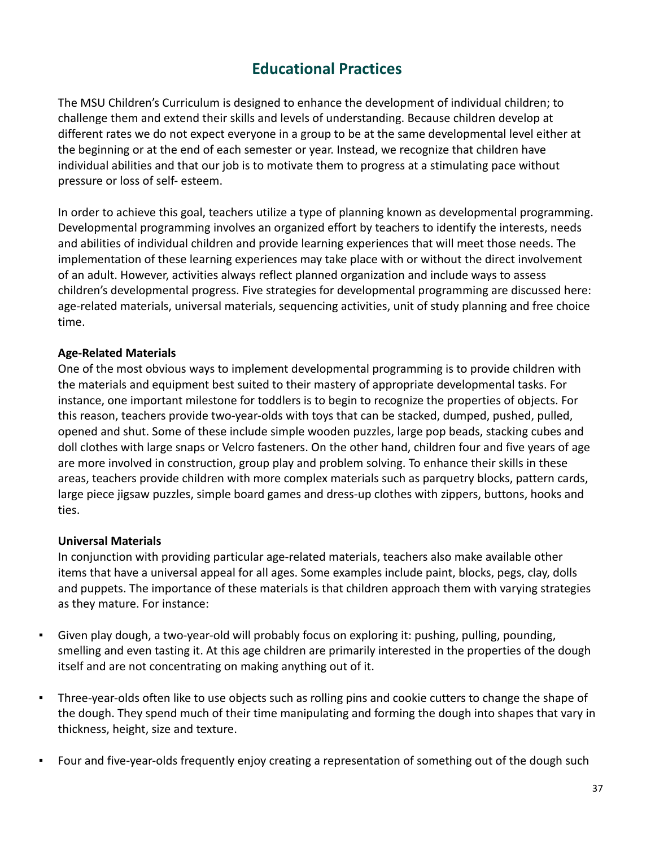### **Educational Practices**

<span id="page-37-0"></span>The MSU Children's Curriculum is designed to enhance the development of individual children; to challenge them and extend their skills and levels of understanding. Because children develop at different rates we do not expect everyone in a group to be at the same developmental level either at the beginning or at the end of each semester or year. Instead, we recognize that children have individual abilities and that our job is to motivate them to progress at a stimulating pace without pressure or loss of self- esteem.

In order to achieve this goal, teachers utilize a type of planning known as developmental programming. Developmental programming involves an organized effort by teachers to identify the interests, needs and abilities of individual children and provide learning experiences that will meet those needs. The implementation of these learning experiences may take place with or without the direct involvement of an adult. However, activities always reflect planned organization and include ways to assess children's developmental progress. Five strategies for developmental programming are discussed here: age-related materials, universal materials, sequencing activities, unit of study planning and free choice time.

#### <span id="page-37-1"></span>**Age-Related Materials**

One of the most obvious ways to implement developmental programming is to provide children with the materials and equipment best suited to their mastery of appropriate developmental tasks. For instance, one important milestone for toddlers is to begin to recognize the properties of objects. For this reason, teachers provide two-year-olds with toys that can be stacked, dumped, pushed, pulled, opened and shut. Some of these include simple wooden puzzles, large pop beads, stacking cubes and doll clothes with large snaps or Velcro fasteners. On the other hand, children four and five years of age are more involved in construction, group play and problem solving. To enhance their skills in these areas, teachers provide children with more complex materials such as parquetry blocks, pattern cards, large piece jigsaw puzzles, simple board games and dress-up clothes with zippers, buttons, hooks and ties.

#### <span id="page-37-2"></span>**Universal Materials**

In conjunction with providing particular age-related materials, teachers also make available other items that have a universal appeal for all ages. Some examples include paint, blocks, pegs, clay, dolls and puppets. The importance of these materials is that children approach them with varying strategies as they mature. For instance:

- Given play dough, a two-year-old will probably focus on exploring it: pushing, pulling, pounding, smelling and even tasting it. At this age children are primarily interested in the properties of the dough itself and are not concentrating on making anything out of it.
- Three-year-olds often like to use objects such as rolling pins and cookie cutters to change the shape of the dough. They spend much of their time manipulating and forming the dough into shapes that vary in thickness, height, size and texture.
- Four and five-year-olds frequently enjoy creating a representation of something out of the dough such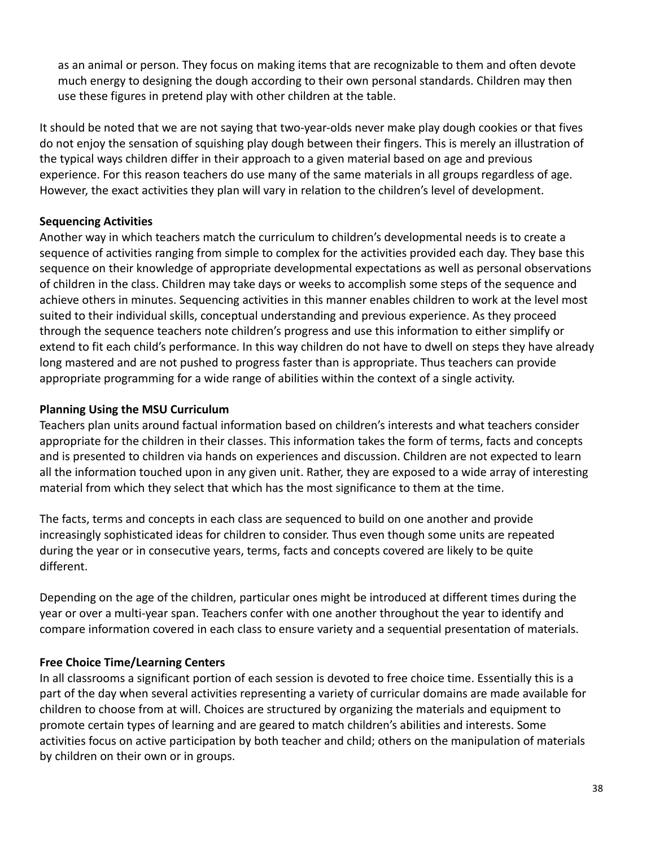as an animal or person. They focus on making items that are recognizable to them and often devote much energy to designing the dough according to their own personal standards. Children may then use these figures in pretend play with other children at the table.

It should be noted that we are not saying that two-year-olds never make play dough cookies or that fives do not enjoy the sensation of squishing play dough between their fingers. This is merely an illustration of the typical ways children differ in their approach to a given material based on age and previous experience. For this reason teachers do use many of the same materials in all groups regardless of age. However, the exact activities they plan will vary in relation to the children's level of development.

#### <span id="page-38-0"></span>**Sequencing Activities**

Another way in which teachers match the curriculum to children's developmental needs is to create a sequence of activities ranging from simple to complex for the activities provided each day. They base this sequence on their knowledge of appropriate developmental expectations as well as personal observations of children in the class. Children may take days or weeks to accomplish some steps of the sequence and achieve others in minutes. Sequencing activities in this manner enables children to work at the level most suited to their individual skills, conceptual understanding and previous experience. As they proceed through the sequence teachers note children's progress and use this information to either simplify or extend to fit each child's performance. In this way children do not have to dwell on steps they have already long mastered and are not pushed to progress faster than is appropriate. Thus teachers can provide appropriate programming for a wide range of abilities within the context of a single activity.

#### <span id="page-38-1"></span>**Planning Using the MSU Curriculum**

Teachers plan units around factual information based on children's interests and what teachers consider appropriate for the children in their classes. This information takes the form of terms, facts and concepts and is presented to children via hands on experiences and discussion. Children are not expected to learn all the information touched upon in any given unit. Rather, they are exposed to a wide array of interesting material from which they select that which has the most significance to them at the time.

The facts, terms and concepts in each class are sequenced to build on one another and provide increasingly sophisticated ideas for children to consider. Thus even though some units are repeated during the year or in consecutive years, terms, facts and concepts covered are likely to be quite different.

Depending on the age of the children, particular ones might be introduced at different times during the year or over a multi-year span. Teachers confer with one another throughout the year to identify and compare information covered in each class to ensure variety and a sequential presentation of materials.

#### <span id="page-38-2"></span>**Free Choice Time/Learning Centers**

In all classrooms a significant portion of each session is devoted to free choice time. Essentially this is a part of the day when several activities representing a variety of curricular domains are made available for children to choose from at will. Choices are structured by organizing the materials and equipment to promote certain types of learning and are geared to match children's abilities and interests. Some activities focus on active participation by both teacher and child; others on the manipulation of materials by children on their own or in groups.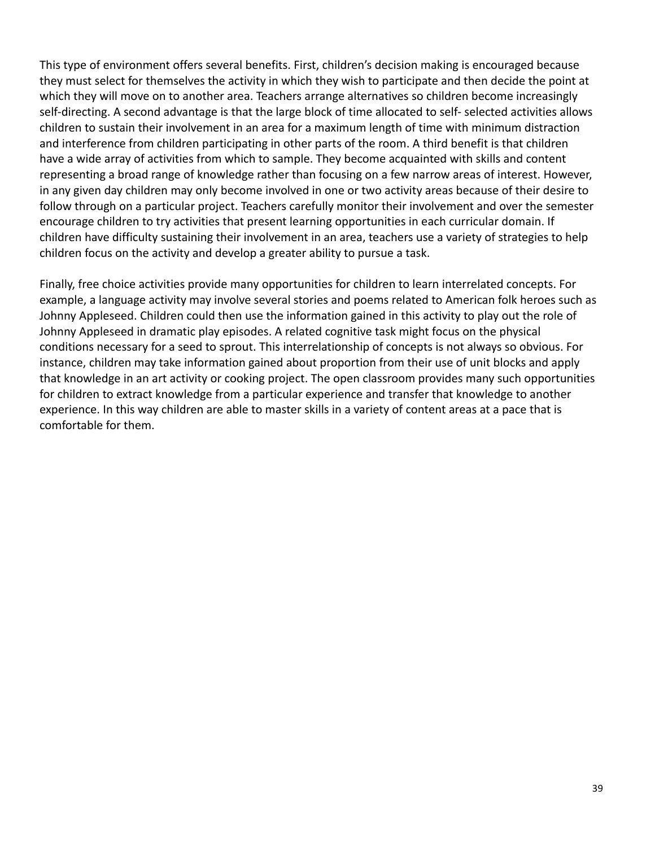This type of environment offers several benefits. First, children's decision making is encouraged because they must select for themselves the activity in which they wish to participate and then decide the point at which they will move on to another area. Teachers arrange alternatives so children become increasingly self-directing. A second advantage is that the large block of time allocated to self- selected activities allows children to sustain their involvement in an area for a maximum length of time with minimum distraction and interference from children participating in other parts of the room. A third benefit is that children have a wide array of activities from which to sample. They become acquainted with skills and content representing a broad range of knowledge rather than focusing on a few narrow areas of interest. However, in any given day children may only become involved in one or two activity areas because of their desire to follow through on a particular project. Teachers carefully monitor their involvement and over the semester encourage children to try activities that present learning opportunities in each curricular domain. If children have difficulty sustaining their involvement in an area, teachers use a variety of strategies to help children focus on the activity and develop a greater ability to pursue a task.

Finally, free choice activities provide many opportunities for children to learn interrelated concepts. For example, a language activity may involve several stories and poems related to American folk heroes such as Johnny Appleseed. Children could then use the information gained in this activity to play out the role of Johnny Appleseed in dramatic play episodes. A related cognitive task might focus on the physical conditions necessary for a seed to sprout. This interrelationship of concepts is not always so obvious. For instance, children may take information gained about proportion from their use of unit blocks and apply that knowledge in an art activity or cooking project. The open classroom provides many such opportunities for children to extract knowledge from a particular experience and transfer that knowledge to another experience. In this way children are able to master skills in a variety of content areas at a pace that is comfortable for them.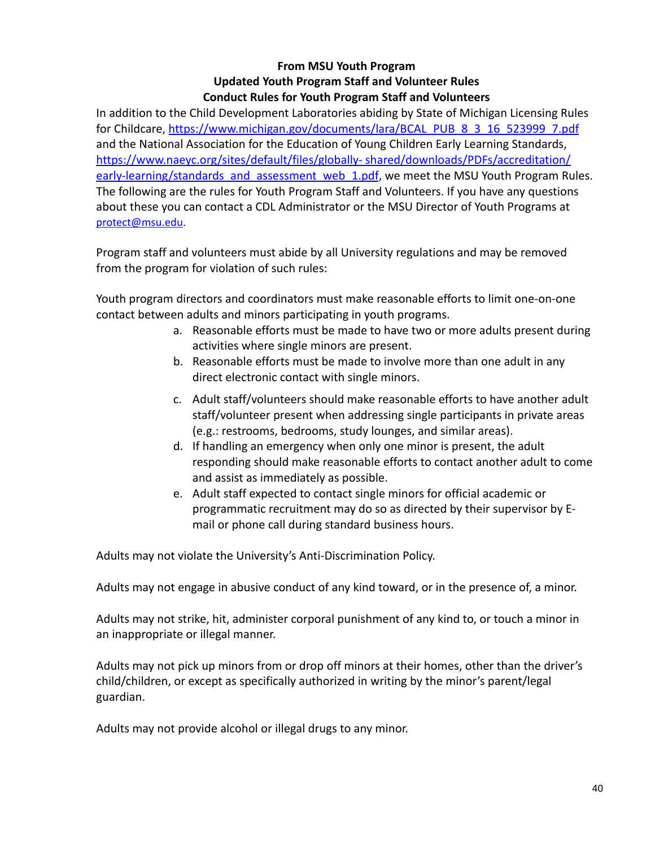#### **From MSU Youth Program Updated Youth Program Staff and Volunteer Rules Conduct Rules for Youth Program Staff and Volunteers**

In addition to the Child Development Laboratories abiding by State of Michigan Licensing Rules for Childcare, [https://www.michigan.gov/documents/lara/BCAL\\_PUB\\_8\\_3\\_16\\_523999\\_7.pdf](https://www.michigan.gov/documents/lara/BCAL_PUB_8_3_16_523999_7.pdf) and the National Association for the Education of Young Children Early Learning Standards, [https://www.naeyc.org/sites/default/files/globally- shared/downloads/PDFs/accreditation/](https://www.naeyc.org/sites/default/files/globally-shared/downloads/PDFs/accreditation/early-learning/standards_and_assessment_web_1.pdf) [early-learning/standards\\_and\\_assessment\\_web\\_1.pdf](https://www.naeyc.org/sites/default/files/globally-shared/downloads/PDFs/accreditation/early-learning/standards_and_assessment_web_1.pdf), we meet the MSU Youth Program Rules. The following are the rules for Youth Program Staff and Volunteers. If you have any questions about these you can contact a CDL Administrator or the MSU Director of Youth Programs at [protect@msu.edu](mailto:protect@msu.edu).

Program staff and volunteers must abide by all University regulations and may be removed from the program for violation of such rules:

Youth program directors and coordinators must make reasonable efforts to limit one-on-one contact between adults and minors participating in youth programs.

- a. Reasonable efforts must be made to have two or more adults present during activities where single minors are present.
- b. Reasonable efforts must be made to involve more than one adult in any direct electronic contact with single minors.
- c. Adult staff/volunteers should make reasonable efforts to have another adult staff/volunteer present when addressing single participants in private areas (e.g.: restrooms, bedrooms, study lounges, and similar areas).
- d. If handling an emergency when only one minor is present, the adult responding should make reasonable efforts to contact another adult to come and assist as immediately as possible.
- e. Adult staff expected to contact single minors for official academic or programmatic recruitment may do so as directed by their supervisor by Email or phone call during standard business hours.

Adults may not violate the University's Anti-Discrimination Policy.

Adults may not engage in abusive conduct of any kind toward, or in the presence of, a minor.

Adults may not strike, hit, administer corporal punishment of any kind to, or touch a minor in an inappropriate or illegal manner.

Adults may not pick up minors from or drop off minors at their homes, other than the driver's child/children, or except as specifically authorized in writing by the minor's parent/legal guardian.

Adults may not provide alcohol or illegal drugs to any minor.